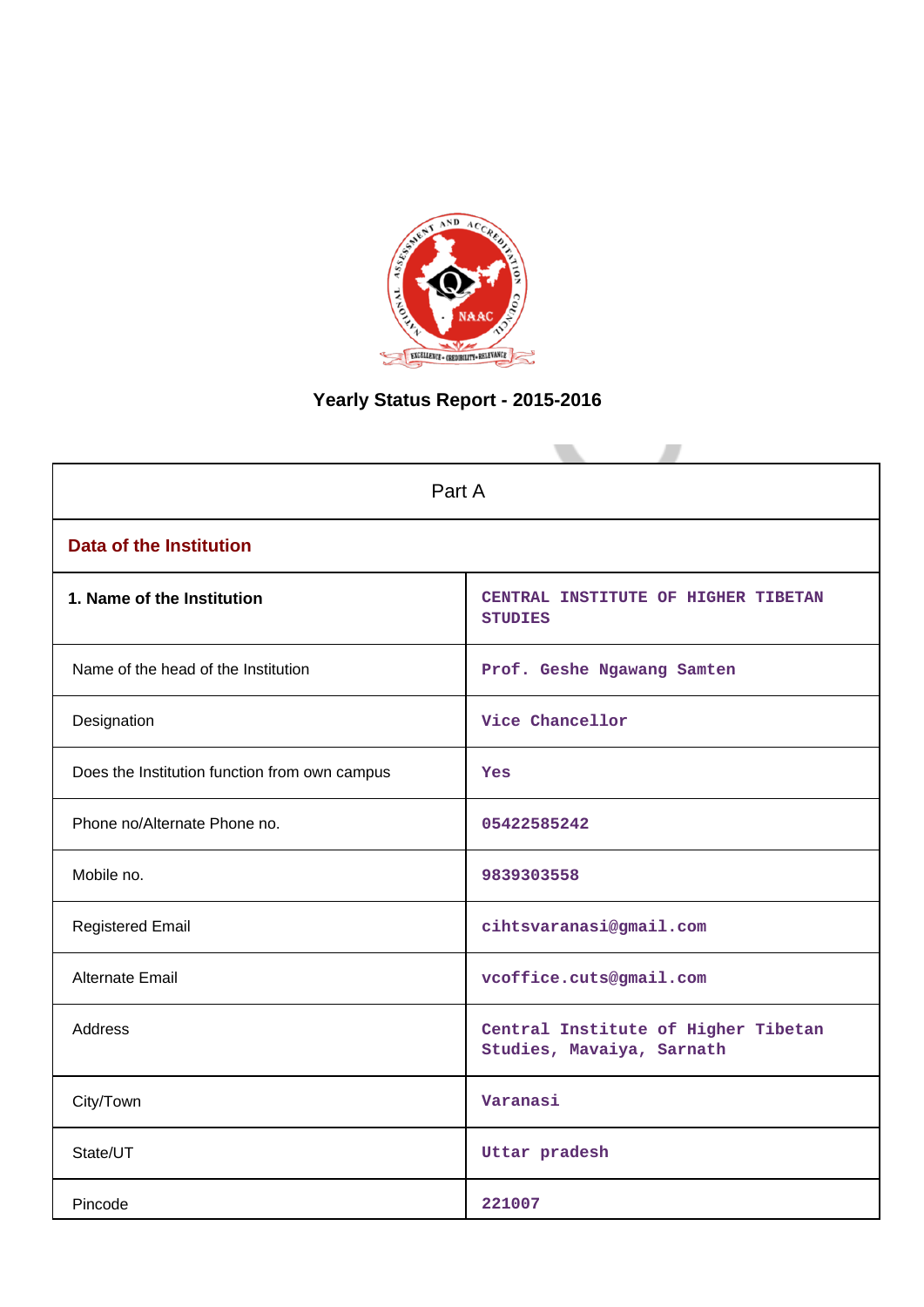

# **Yearly Status Report - 2015-2016**

| Part A                                        |                                                                  |  |  |  |  |  |
|-----------------------------------------------|------------------------------------------------------------------|--|--|--|--|--|
| <b>Data of the Institution</b>                |                                                                  |  |  |  |  |  |
| 1. Name of the Institution                    | CENTRAL INSTITUTE OF HIGHER TIBETAN<br><b>STUDIES</b>            |  |  |  |  |  |
| Name of the head of the Institution           | Prof. Geshe Ngawang Samten                                       |  |  |  |  |  |
| Designation                                   | Vice Chancellor                                                  |  |  |  |  |  |
| Does the Institution function from own campus | Yes                                                              |  |  |  |  |  |
| Phone no/Alternate Phone no.                  | 05422585242                                                      |  |  |  |  |  |
| Mobile no.                                    | 9839303558                                                       |  |  |  |  |  |
| <b>Registered Email</b>                       | cihtsvaranasi@gmail.com                                          |  |  |  |  |  |
| Alternate Email                               | vcoffice.cuts@gmail.com                                          |  |  |  |  |  |
| <b>Address</b>                                | Central Institute of Higher Tibetan<br>Studies, Mavaiya, Sarnath |  |  |  |  |  |
| City/Town                                     | Varanasi                                                         |  |  |  |  |  |
| State/UT                                      | Uttar pradesh                                                    |  |  |  |  |  |
| Pincode                                       | 221007                                                           |  |  |  |  |  |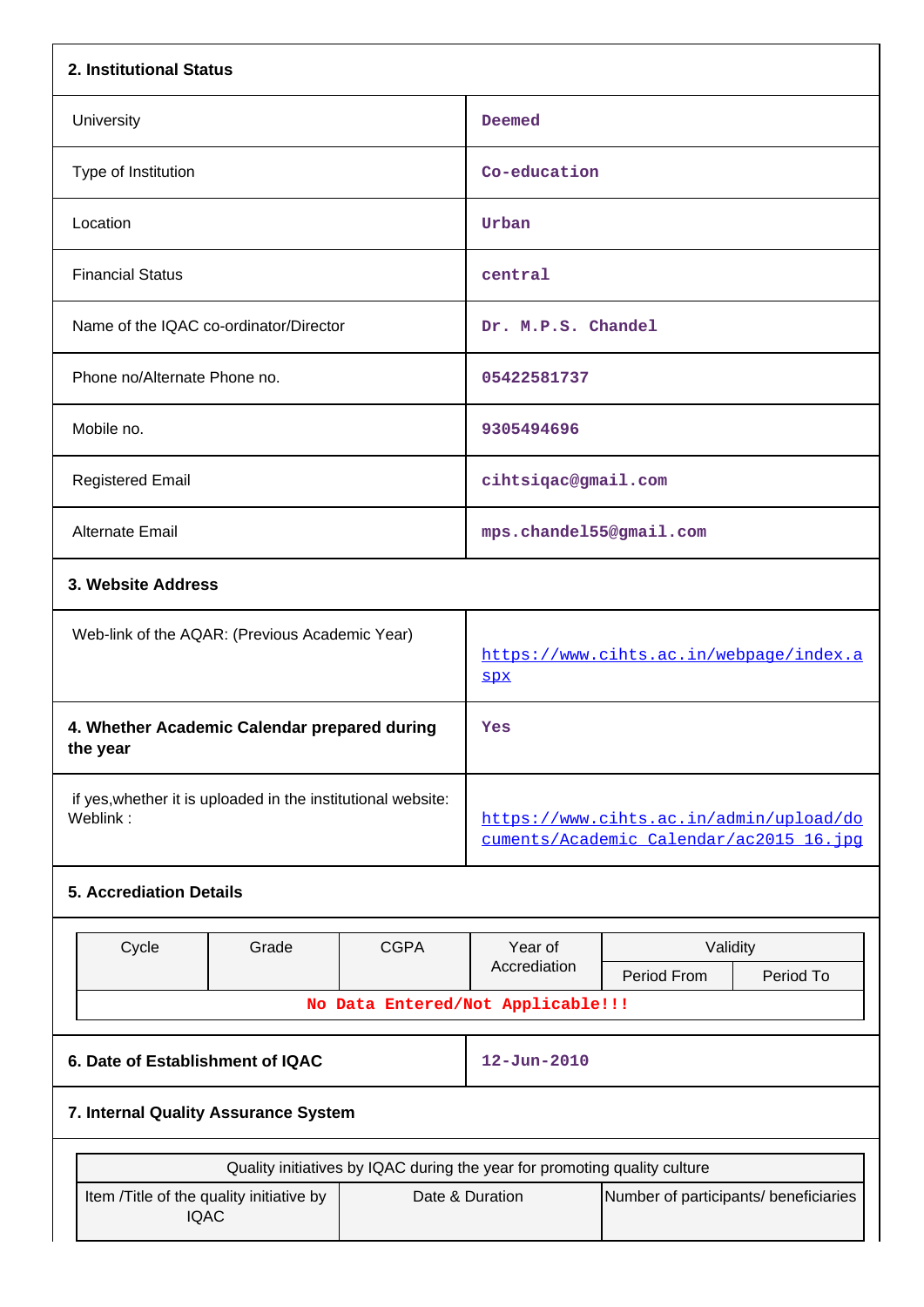| 2. Institutional Status                                                  |             |                                                                                                                                       |                                      |  |  |  |  |  |
|--------------------------------------------------------------------------|-------------|---------------------------------------------------------------------------------------------------------------------------------------|--------------------------------------|--|--|--|--|--|
| University                                                               |             | Deemed                                                                                                                                |                                      |  |  |  |  |  |
| Type of Institution                                                      |             | Co-education                                                                                                                          |                                      |  |  |  |  |  |
| Location                                                                 |             | Urban                                                                                                                                 |                                      |  |  |  |  |  |
| <b>Financial Status</b>                                                  |             | central                                                                                                                               |                                      |  |  |  |  |  |
| Name of the IQAC co-ordinator/Director                                   |             | Dr. M.P.S. Chandel                                                                                                                    |                                      |  |  |  |  |  |
| Phone no/Alternate Phone no.                                             |             | 05422581737                                                                                                                           |                                      |  |  |  |  |  |
| Mobile no.                                                               |             | 9305494696                                                                                                                            |                                      |  |  |  |  |  |
| <b>Registered Email</b>                                                  |             | cihtsiqac@gmail.com                                                                                                                   |                                      |  |  |  |  |  |
| Alternate Email                                                          |             | mps.chandel55@gmail.com                                                                                                               |                                      |  |  |  |  |  |
| 3. Website Address                                                       |             |                                                                                                                                       |                                      |  |  |  |  |  |
| Web-link of the AQAR: (Previous Academic Year)                           |             | https://www.cihts.ac.in/webpage/index.a<br><b>SPX</b>                                                                                 |                                      |  |  |  |  |  |
| 4. Whether Academic Calendar prepared during<br>the year                 |             | Yes                                                                                                                                   |                                      |  |  |  |  |  |
| if yes, whether it is uploaded in the institutional website:<br>Weblink: |             | https://www.cihts.ac.in/admin/upload/do<br>cuments/Academic Calendar/ac2015 16.jpq                                                    |                                      |  |  |  |  |  |
| <b>5. Accrediation Details</b>                                           |             |                                                                                                                                       |                                      |  |  |  |  |  |
| Cycle<br>Grade                                                           | <b>CGPA</b> | Year of<br>Accrediation<br>No Data Entered/Not Applicable!!!                                                                          | Validity<br>Period From<br>Period To |  |  |  |  |  |
| 6. Date of Establishment of IQAC                                         |             | $12 - Jun - 2010$                                                                                                                     |                                      |  |  |  |  |  |
| 7. Internal Quality Assurance System                                     |             |                                                                                                                                       |                                      |  |  |  |  |  |
|                                                                          |             |                                                                                                                                       |                                      |  |  |  |  |  |
| Item /Title of the quality initiative by<br><b>IQAC</b>                  |             | Quality initiatives by IQAC during the year for promoting quality culture<br>Date & Duration<br>Number of participants/ beneficiaries |                                      |  |  |  |  |  |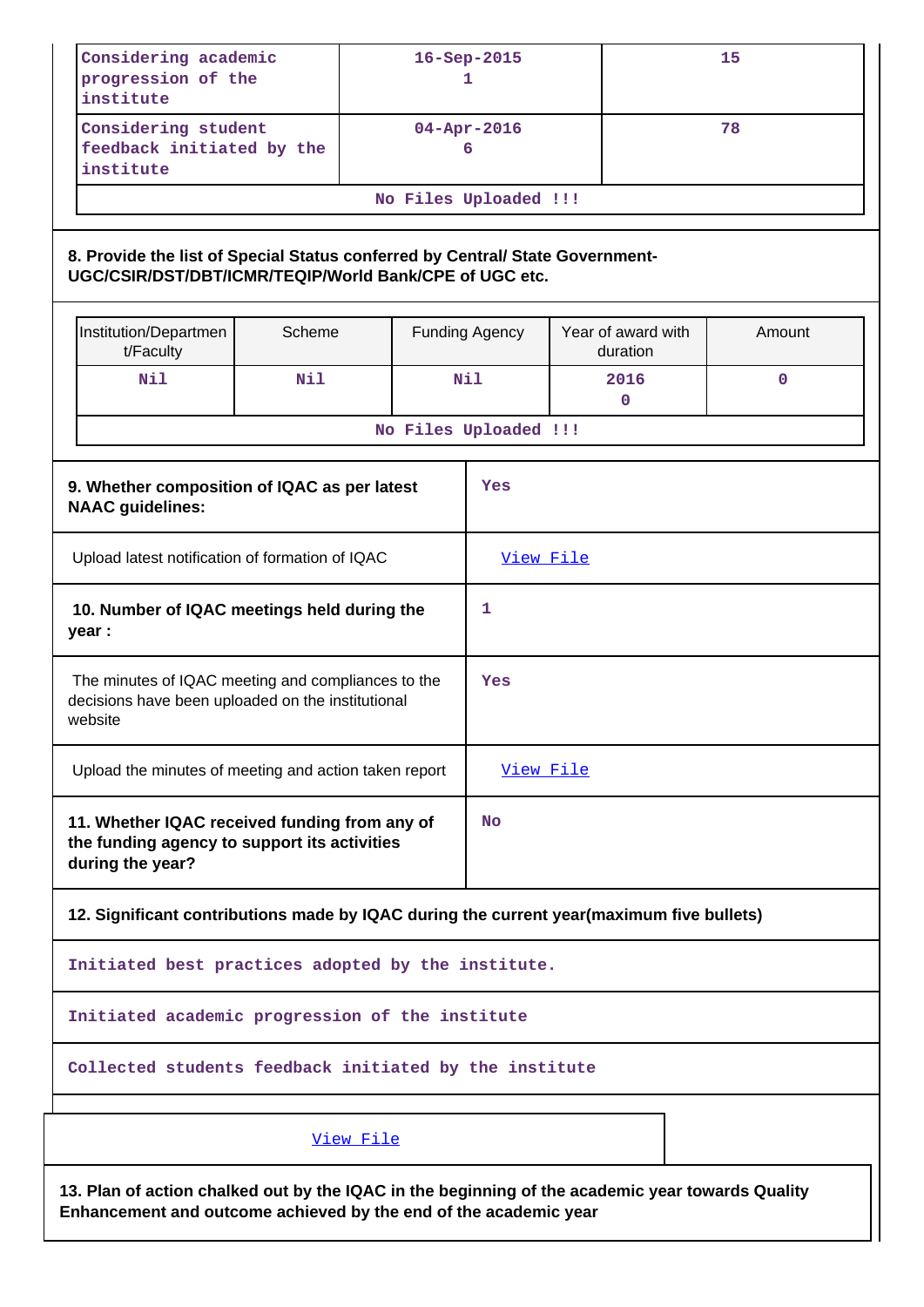| Considering academic<br>progression of the<br>institute                                                                                                              |        |                       | 16-Sep-2015<br>1 |                                | 15          |
|----------------------------------------------------------------------------------------------------------------------------------------------------------------------|--------|-----------------------|------------------|--------------------------------|-------------|
| Considering student<br>feedback initiated by the<br>institute                                                                                                        |        |                       | 04-Apr-2016<br>6 |                                | 78          |
|                                                                                                                                                                      |        | No Files Uploaded !!! |                  |                                |             |
| 8. Provide the list of Special Status conferred by Central/ State Government-<br>UGC/CSIR/DST/DBT/ICMR/TEQIP/World Bank/CPE of UGC etc.                              |        |                       |                  |                                |             |
| Institution/Departmen<br>t/Faculty                                                                                                                                   | Scheme |                       | Funding Agency   | Year of award with<br>duration | Amount      |
| Nil                                                                                                                                                                  | Nil    |                       | Nil              | 2016<br>0                      | $\mathbf 0$ |
|                                                                                                                                                                      |        | No Files Uploaded !!! |                  |                                |             |
| 9. Whether composition of IQAC as per latest<br><b>NAAC</b> guidelines:                                                                                              |        |                       | Yes              |                                |             |
| Upload latest notification of formation of IQAC                                                                                                                      |        |                       | View File        |                                |             |
| 10. Number of IQAC meetings held during the<br>year :                                                                                                                |        |                       | 1                |                                |             |
| The minutes of IQAC meeting and compliances to the<br>decisions have been uploaded on the institutional<br>website                                                   |        |                       | Yes              |                                |             |
| Upload the minutes of meeting and action taken report                                                                                                                |        |                       | View File        |                                |             |
| 11. Whether IQAC received funding from any of<br>the funding agency to support its activities<br>during the year?                                                    |        |                       | <b>No</b>        |                                |             |
| 12. Significant contributions made by IQAC during the current year(maximum five bullets)                                                                             |        |                       |                  |                                |             |
| Initiated best practices adopted by the institute.                                                                                                                   |        |                       |                  |                                |             |
| Initiated academic progression of the institute                                                                                                                      |        |                       |                  |                                |             |
| Collected students feedback initiated by the institute                                                                                                               |        |                       |                  |                                |             |
|                                                                                                                                                                      |        | View File             |                  |                                |             |
| 13. Plan of action chalked out by the IQAC in the beginning of the academic year towards Quality<br>Enhancement and outcome achieved by the end of the academic year |        |                       |                  |                                |             |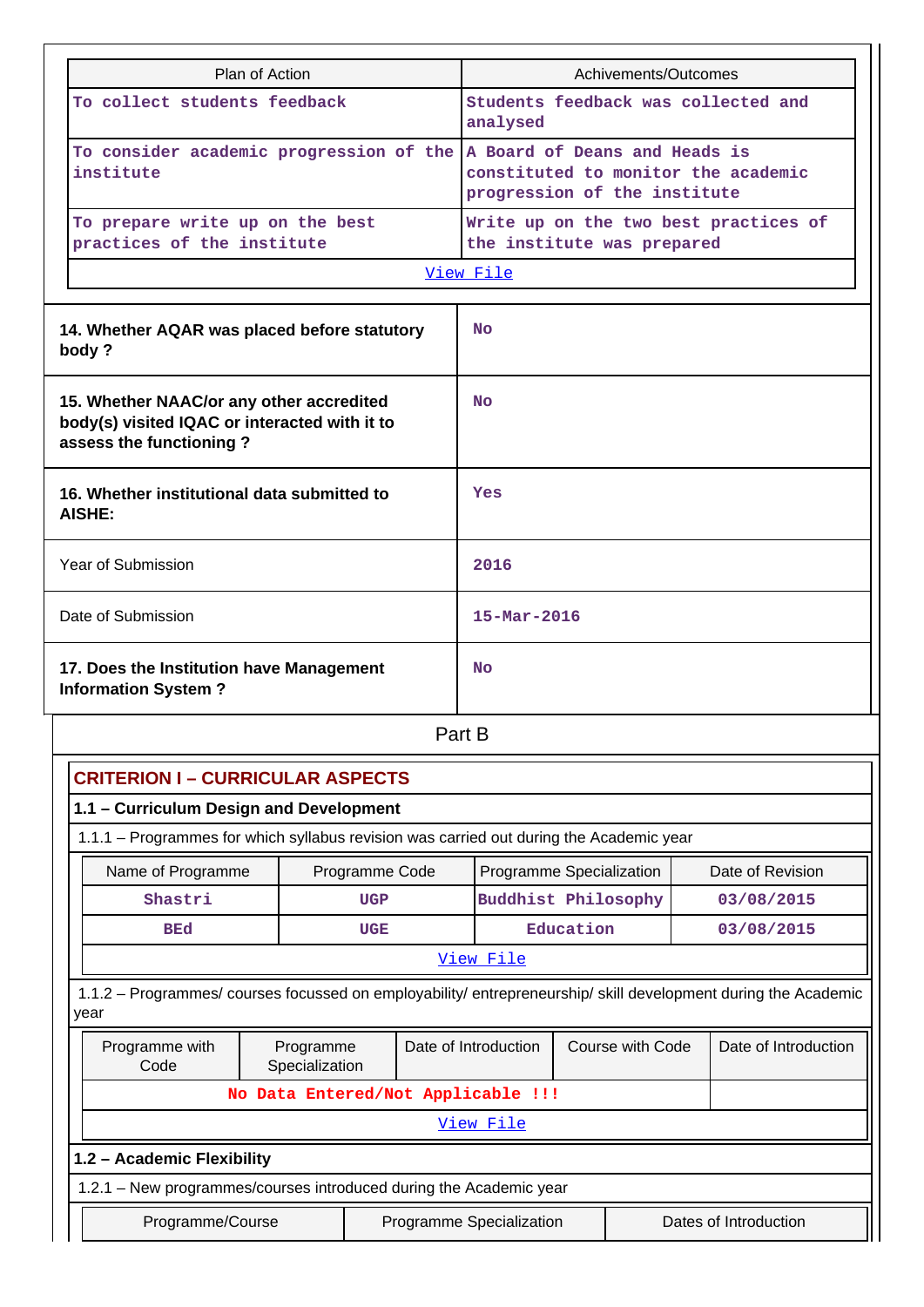| Plan of Action                                                                                                         |                                                     |                                    | Achivements/Outcomes       |           |                                                               |                  |                                       |  |
|------------------------------------------------------------------------------------------------------------------------|-----------------------------------------------------|------------------------------------|----------------------------|-----------|---------------------------------------------------------------|------------------|---------------------------------------|--|
|                                                                                                                        | To collect students feedback                        |                                    |                            |           | Students feedback was collected and<br>analysed               |                  |                                       |  |
| institute                                                                                                              | To consider academic progression of the             |                                    |                            |           | A Board of Deans and Heads is<br>progression of the institute |                  | constituted to monitor the academic   |  |
| To prepare write up on the best<br>practices of the institute                                                          |                                                     |                                    | the institute was prepared |           |                                                               |                  | Write up on the two best practices of |  |
|                                                                                                                        |                                                     |                                    | View File                  |           |                                                               |                  |                                       |  |
|                                                                                                                        |                                                     |                                    |                            |           |                                                               |                  |                                       |  |
| 14. Whether AQAR was placed before statutory<br>body?                                                                  |                                                     |                                    | No                         |           |                                                               |                  |                                       |  |
| 15. Whether NAAC/or any other accredited<br>body(s) visited IQAC or interacted with it to<br>assess the functioning?   |                                                     |                                    | <b>No</b>                  |           |                                                               |                  |                                       |  |
| 16. Whether institutional data submitted to<br><b>AISHE:</b>                                                           |                                                     | Yes                                |                            |           |                                                               |                  |                                       |  |
| Year of Submission                                                                                                     |                                                     |                                    | 2016                       |           |                                                               |                  |                                       |  |
| Date of Submission                                                                                                     |                                                     |                                    | $15 - \text{Mar} - 2016$   |           |                                                               |                  |                                       |  |
| 17. Does the Institution have Management<br><b>Information System?</b>                                                 |                                                     |                                    | <b>No</b>                  |           |                                                               |                  |                                       |  |
|                                                                                                                        |                                                     | Part B                             |                            |           |                                                               |                  |                                       |  |
| <b>CRITERION I - CURRICULAR ASPECTS</b>                                                                                |                                                     |                                    |                            |           |                                                               |                  |                                       |  |
| 1.1 - Curriculum Design and Development                                                                                |                                                     |                                    |                            |           |                                                               |                  |                                       |  |
| 1.1.1 - Programmes for which syllabus revision was carried out during the Academic year                                |                                                     |                                    |                            |           |                                                               |                  |                                       |  |
| Name of Programme                                                                                                      |                                                     | Programme Code                     | Programme Specialization   |           |                                                               |                  | Date of Revision                      |  |
| Shastri                                                                                                                |                                                     | <b>UGP</b>                         | <b>Buddhist Philosophy</b> |           |                                                               |                  | 03/08/2015                            |  |
| <b>BEd</b>                                                                                                             |                                                     | <b>UGE</b>                         |                            | Education |                                                               |                  | 03/08/2015                            |  |
|                                                                                                                        |                                                     |                                    | View File                  |           |                                                               |                  |                                       |  |
| 1.1.2 - Programmes/ courses focussed on employability/ entrepreneurship/ skill development during the Academic<br>year |                                                     |                                    |                            |           |                                                               |                  |                                       |  |
| Programme with<br>Code                                                                                                 | Date of Introduction<br>Programme<br>Specialization |                                    |                            |           |                                                               | Course with Code | Date of Introduction                  |  |
|                                                                                                                        |                                                     | No Data Entered/Not Applicable !!! |                            |           |                                                               |                  |                                       |  |
|                                                                                                                        |                                                     |                                    | View File                  |           |                                                               |                  |                                       |  |
| 1.2 - Academic Flexibility                                                                                             |                                                     |                                    |                            |           |                                                               |                  |                                       |  |
| 1.2.1 - New programmes/courses introduced during the Academic year                                                     |                                                     |                                    |                            |           |                                                               |                  |                                       |  |
| Programme/Course                                                                                                       |                                                     |                                    | Programme Specialization   |           |                                                               |                  | Dates of Introduction                 |  |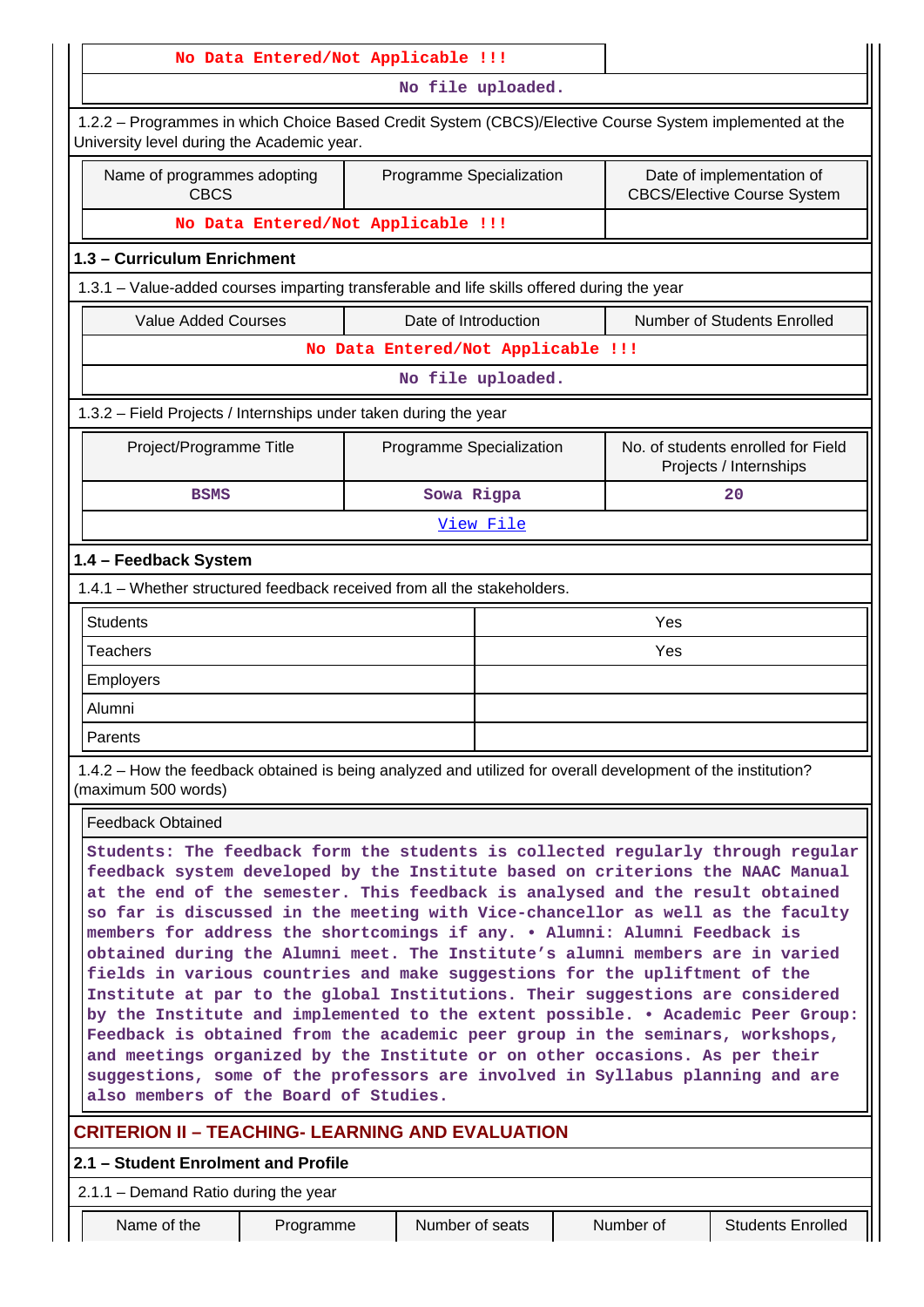| No Data Entered/Not Applicable !!!                                                                                                                                                                                                                                                                                                                                                                                                                                                                                                                                                                                                                                                                                                                                                                                                                                                                                                                                                                                                             |                                    |                          |  |            |                                                                 |
|------------------------------------------------------------------------------------------------------------------------------------------------------------------------------------------------------------------------------------------------------------------------------------------------------------------------------------------------------------------------------------------------------------------------------------------------------------------------------------------------------------------------------------------------------------------------------------------------------------------------------------------------------------------------------------------------------------------------------------------------------------------------------------------------------------------------------------------------------------------------------------------------------------------------------------------------------------------------------------------------------------------------------------------------|------------------------------------|--------------------------|--|------------|-----------------------------------------------------------------|
|                                                                                                                                                                                                                                                                                                                                                                                                                                                                                                                                                                                                                                                                                                                                                                                                                                                                                                                                                                                                                                                |                                    | No file uploaded.        |  |            |                                                                 |
| 1.2.2 - Programmes in which Choice Based Credit System (CBCS)/Elective Course System implemented at the<br>University level during the Academic year.                                                                                                                                                                                                                                                                                                                                                                                                                                                                                                                                                                                                                                                                                                                                                                                                                                                                                          |                                    |                          |  |            |                                                                 |
| Name of programmes adopting<br><b>CBCS</b>                                                                                                                                                                                                                                                                                                                                                                                                                                                                                                                                                                                                                                                                                                                                                                                                                                                                                                                                                                                                     |                                    | Programme Specialization |  |            | Date of implementation of<br><b>CBCS/Elective Course System</b> |
| No Data Entered/Not Applicable !!!                                                                                                                                                                                                                                                                                                                                                                                                                                                                                                                                                                                                                                                                                                                                                                                                                                                                                                                                                                                                             |                                    |                          |  |            |                                                                 |
| 1.3 - Curriculum Enrichment                                                                                                                                                                                                                                                                                                                                                                                                                                                                                                                                                                                                                                                                                                                                                                                                                                                                                                                                                                                                                    |                                    |                          |  |            |                                                                 |
| 1.3.1 - Value-added courses imparting transferable and life skills offered during the year                                                                                                                                                                                                                                                                                                                                                                                                                                                                                                                                                                                                                                                                                                                                                                                                                                                                                                                                                     |                                    |                          |  |            |                                                                 |
| <b>Value Added Courses</b>                                                                                                                                                                                                                                                                                                                                                                                                                                                                                                                                                                                                                                                                                                                                                                                                                                                                                                                                                                                                                     |                                    | Date of Introduction     |  |            | Number of Students Enrolled                                     |
|                                                                                                                                                                                                                                                                                                                                                                                                                                                                                                                                                                                                                                                                                                                                                                                                                                                                                                                                                                                                                                                | No Data Entered/Not Applicable !!! |                          |  |            |                                                                 |
|                                                                                                                                                                                                                                                                                                                                                                                                                                                                                                                                                                                                                                                                                                                                                                                                                                                                                                                                                                                                                                                |                                    | No file uploaded.        |  |            |                                                                 |
| 1.3.2 - Field Projects / Internships under taken during the year                                                                                                                                                                                                                                                                                                                                                                                                                                                                                                                                                                                                                                                                                                                                                                                                                                                                                                                                                                               |                                    |                          |  |            |                                                                 |
| Project/Programme Title                                                                                                                                                                                                                                                                                                                                                                                                                                                                                                                                                                                                                                                                                                                                                                                                                                                                                                                                                                                                                        |                                    | Programme Specialization |  |            | No. of students enrolled for Field<br>Projects / Internships    |
| <b>BSMS</b>                                                                                                                                                                                                                                                                                                                                                                                                                                                                                                                                                                                                                                                                                                                                                                                                                                                                                                                                                                                                                                    |                                    | Sowa Rigpa               |  |            | 20                                                              |
|                                                                                                                                                                                                                                                                                                                                                                                                                                                                                                                                                                                                                                                                                                                                                                                                                                                                                                                                                                                                                                                |                                    | View File                |  |            |                                                                 |
| <b>Students</b><br><b>Teachers</b>                                                                                                                                                                                                                                                                                                                                                                                                                                                                                                                                                                                                                                                                                                                                                                                                                                                                                                                                                                                                             |                                    |                          |  | Yes<br>Yes |                                                                 |
|                                                                                                                                                                                                                                                                                                                                                                                                                                                                                                                                                                                                                                                                                                                                                                                                                                                                                                                                                                                                                                                |                                    |                          |  |            |                                                                 |
| Employers                                                                                                                                                                                                                                                                                                                                                                                                                                                                                                                                                                                                                                                                                                                                                                                                                                                                                                                                                                                                                                      |                                    |                          |  |            |                                                                 |
| Alumni                                                                                                                                                                                                                                                                                                                                                                                                                                                                                                                                                                                                                                                                                                                                                                                                                                                                                                                                                                                                                                         |                                    |                          |  |            |                                                                 |
| Parents                                                                                                                                                                                                                                                                                                                                                                                                                                                                                                                                                                                                                                                                                                                                                                                                                                                                                                                                                                                                                                        |                                    |                          |  |            |                                                                 |
| 1.4.2 – How the feedback obtained is being analyzed and utilized for overall development of the institution?<br>(maximum 500 words)                                                                                                                                                                                                                                                                                                                                                                                                                                                                                                                                                                                                                                                                                                                                                                                                                                                                                                            |                                    |                          |  |            |                                                                 |
| <b>Feedback Obtained</b>                                                                                                                                                                                                                                                                                                                                                                                                                                                                                                                                                                                                                                                                                                                                                                                                                                                                                                                                                                                                                       |                                    |                          |  |            |                                                                 |
| Students: The feedback form the students is collected regularly through regular<br>feedback system developed by the Institute based on criterions the NAAC Manual<br>at the end of the semester. This feedback is analysed and the result obtained<br>so far is discussed in the meeting with Vice-chancellor as well as the faculty<br>members for address the shortcomings if any. . Alumni: Alumni Feedback is<br>obtained during the Alumni meet. The Institute's alumni members are in varied<br>fields in various countries and make suggestions for the upliftment of the<br>Institute at par to the global Institutions. Their suggestions are considered<br>by the Institute and implemented to the extent possible. • Academic Peer Group:<br>Feedback is obtained from the academic peer group in the seminars, workshops,<br>and meetings organized by the Institute or on other occasions. As per their<br>suggestions, some of the professors are involved in Syllabus planning and are<br>also members of the Board of Studies. |                                    |                          |  |            |                                                                 |
| <b>CRITERION II - TEACHING- LEARNING AND EVALUATION</b>                                                                                                                                                                                                                                                                                                                                                                                                                                                                                                                                                                                                                                                                                                                                                                                                                                                                                                                                                                                        |                                    |                          |  |            |                                                                 |
| 2.1 - Student Enrolment and Profile                                                                                                                                                                                                                                                                                                                                                                                                                                                                                                                                                                                                                                                                                                                                                                                                                                                                                                                                                                                                            |                                    |                          |  |            |                                                                 |
|                                                                                                                                                                                                                                                                                                                                                                                                                                                                                                                                                                                                                                                                                                                                                                                                                                                                                                                                                                                                                                                |                                    |                          |  |            |                                                                 |
| 2.1.1 - Demand Ratio during the year                                                                                                                                                                                                                                                                                                                                                                                                                                                                                                                                                                                                                                                                                                                                                                                                                                                                                                                                                                                                           |                                    |                          |  |            |                                                                 |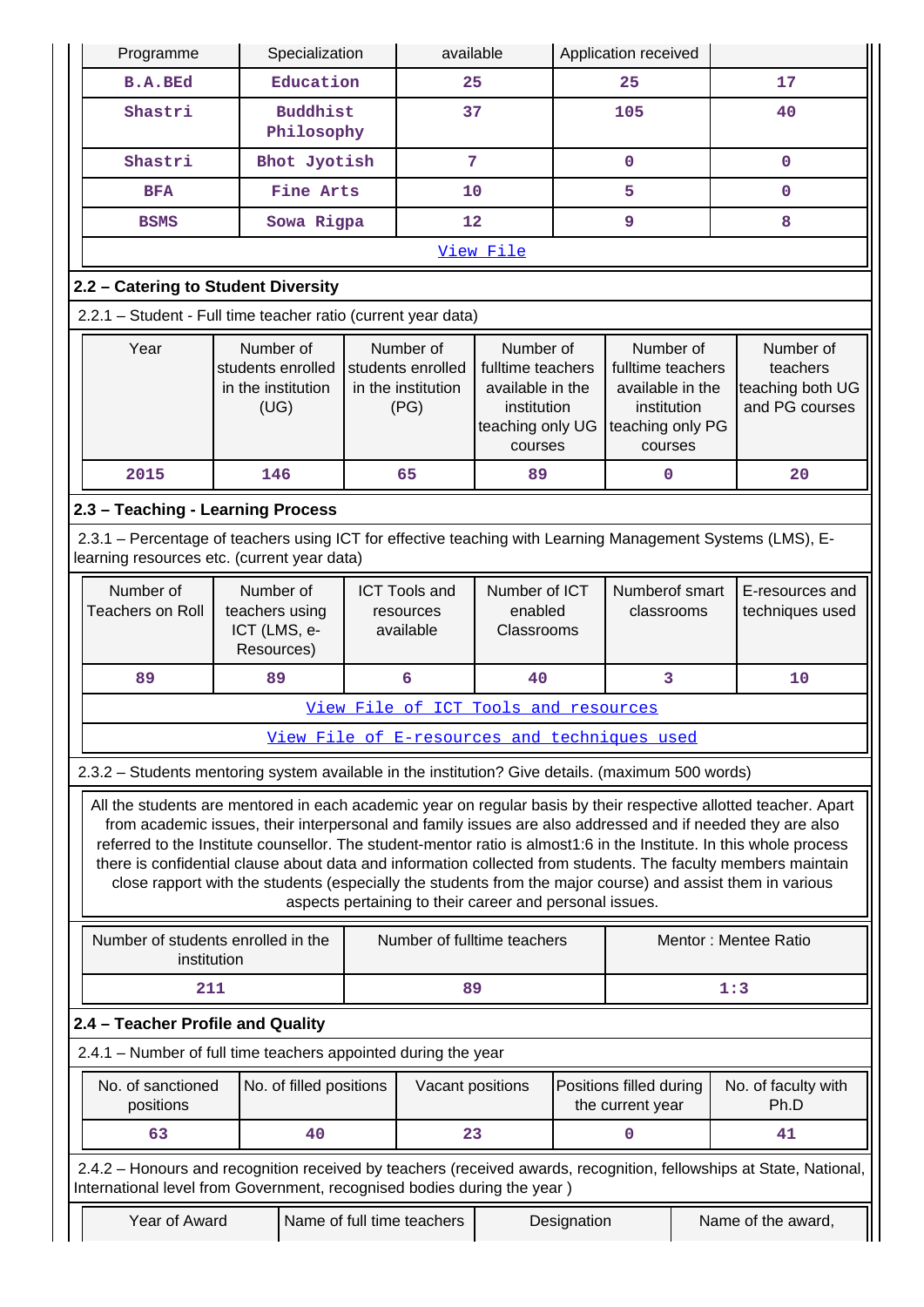| Programme                                                                                                                                                                                                                                                                                                                                          |                                                              | Specialization                |                | available                                                    |                                                                                                  |             | Application received                                                                             |                                                                                                                                                                                                                                |
|----------------------------------------------------------------------------------------------------------------------------------------------------------------------------------------------------------------------------------------------------------------------------------------------------------------------------------------------------|--------------------------------------------------------------|-------------------------------|----------------|--------------------------------------------------------------|--------------------------------------------------------------------------------------------------|-------------|--------------------------------------------------------------------------------------------------|--------------------------------------------------------------------------------------------------------------------------------------------------------------------------------------------------------------------------------|
| <b>B.A.BEd</b>                                                                                                                                                                                                                                                                                                                                     |                                                              | Education                     |                | 25                                                           |                                                                                                  | 25          |                                                                                                  | 17                                                                                                                                                                                                                             |
| Shastri                                                                                                                                                                                                                                                                                                                                            |                                                              | <b>Buddhist</b><br>Philosophy |                | 37                                                           |                                                                                                  |             | 105                                                                                              | 40                                                                                                                                                                                                                             |
| Shastri                                                                                                                                                                                                                                                                                                                                            |                                                              | Bhot Jyotish                  | $\overline{7}$ |                                                              |                                                                                                  | $\mathbf 0$ | $\mathbf 0$                                                                                      |                                                                                                                                                                                                                                |
| <b>BFA</b>                                                                                                                                                                                                                                                                                                                                         | Fine Arts                                                    |                               |                | 10                                                           |                                                                                                  |             | 5                                                                                                | 0                                                                                                                                                                                                                              |
| <b>BSMS</b>                                                                                                                                                                                                                                                                                                                                        |                                                              | Sowa Rigpa                    |                | 12                                                           |                                                                                                  |             | 9                                                                                                | 8                                                                                                                                                                                                                              |
|                                                                                                                                                                                                                                                                                                                                                    |                                                              |                               |                |                                                              | View File                                                                                        |             |                                                                                                  |                                                                                                                                                                                                                                |
| 2.2 - Catering to Student Diversity                                                                                                                                                                                                                                                                                                                |                                                              |                               |                |                                                              |                                                                                                  |             |                                                                                                  |                                                                                                                                                                                                                                |
| 2.2.1 - Student - Full time teacher ratio (current year data)                                                                                                                                                                                                                                                                                      |                                                              |                               |                |                                                              |                                                                                                  |             |                                                                                                  |                                                                                                                                                                                                                                |
| Year                                                                                                                                                                                                                                                                                                                                               | Number of<br>students enrolled<br>in the institution<br>(UG) |                               |                | Number of<br>students enrolled<br>in the institution<br>(PG) | Number of<br>fulltime teachers<br>available in the<br>institution<br>teaching only UG<br>courses |             | Number of<br>fulltime teachers<br>available in the<br>institution<br>teaching only PG<br>courses | Number of<br>teachers<br>teaching both UG<br>and PG courses                                                                                                                                                                    |
| 2015                                                                                                                                                                                                                                                                                                                                               | 146                                                          |                               |                | 65                                                           | 89                                                                                               |             | 0                                                                                                | 20                                                                                                                                                                                                                             |
| 2.3 - Teaching - Learning Process                                                                                                                                                                                                                                                                                                                  |                                                              |                               |                |                                                              |                                                                                                  |             |                                                                                                  |                                                                                                                                                                                                                                |
| 2.3.1 – Percentage of teachers using ICT for effective teaching with Learning Management Systems (LMS), E-<br>learning resources etc. (current year data)                                                                                                                                                                                          |                                                              |                               |                |                                                              |                                                                                                  |             |                                                                                                  |                                                                                                                                                                                                                                |
| Number of                                                                                                                                                                                                                                                                                                                                          | Number of                                                    |                               |                | <b>ICT Tools and</b>                                         | Number of ICT                                                                                    |             | Numberof smart                                                                                   | E-resources and                                                                                                                                                                                                                |
| <b>Teachers on Roll</b>                                                                                                                                                                                                                                                                                                                            | teachers using<br>ICT (LMS, e-<br>Resources)                 |                               |                | resources<br>available                                       | enabled<br>Classrooms                                                                            |             | classrooms                                                                                       | techniques used                                                                                                                                                                                                                |
| 89                                                                                                                                                                                                                                                                                                                                                 | 89                                                           |                               |                | 6                                                            | 40                                                                                               |             | 3                                                                                                | 10                                                                                                                                                                                                                             |
|                                                                                                                                                                                                                                                                                                                                                    |                                                              |                               |                | View File of ICT Tools and resources                         |                                                                                                  |             |                                                                                                  |                                                                                                                                                                                                                                |
|                                                                                                                                                                                                                                                                                                                                                    |                                                              |                               |                | View File of E-resources and techniques used                 |                                                                                                  |             |                                                                                                  |                                                                                                                                                                                                                                |
| 2.3.2 - Students mentoring system available in the institution? Give details. (maximum 500 words)                                                                                                                                                                                                                                                  |                                                              |                               |                |                                                              |                                                                                                  |             |                                                                                                  |                                                                                                                                                                                                                                |
| from academic issues, their interpersonal and family issues are also addressed and if needed they are also<br>referred to the Institute counsellor. The student-mentor ratio is almost1:6 in the Institute. In this whole process<br>there is confidential clause about data and information collected from students. The faculty members maintain |                                                              |                               |                | aspects pertaining to their career and personal issues.      |                                                                                                  |             |                                                                                                  | All the students are mentored in each academic year on regular basis by their respective allotted teacher. Apart<br>close rapport with the students (especially the students from the major course) and assist them in various |
| Number of students enrolled in the<br>institution                                                                                                                                                                                                                                                                                                  |                                                              |                               |                | Number of fulltime teachers                                  |                                                                                                  |             |                                                                                                  | Mentor: Mentee Ratio                                                                                                                                                                                                           |
| 211                                                                                                                                                                                                                                                                                                                                                |                                                              |                               |                | 89                                                           |                                                                                                  |             |                                                                                                  | 1:3                                                                                                                                                                                                                            |
| 2.4 - Teacher Profile and Quality                                                                                                                                                                                                                                                                                                                  |                                                              |                               |                |                                                              |                                                                                                  |             |                                                                                                  |                                                                                                                                                                                                                                |
| 2.4.1 - Number of full time teachers appointed during the year                                                                                                                                                                                                                                                                                     |                                                              |                               |                |                                                              |                                                                                                  |             |                                                                                                  |                                                                                                                                                                                                                                |
| No. of sanctioned<br>positions                                                                                                                                                                                                                                                                                                                     |                                                              | No. of filled positions       |                | Vacant positions                                             |                                                                                                  |             | Positions filled during<br>the current year                                                      | No. of faculty with<br>Ph.D                                                                                                                                                                                                    |
| 63                                                                                                                                                                                                                                                                                                                                                 |                                                              | 40                            |                | 23                                                           |                                                                                                  |             | 0                                                                                                | 41                                                                                                                                                                                                                             |
| 2.4.2 - Honours and recognition received by teachers (received awards, recognition, fellowships at State, National,<br>International level from Government, recognised bodies during the year)                                                                                                                                                     |                                                              |                               |                |                                                              |                                                                                                  |             |                                                                                                  |                                                                                                                                                                                                                                |
| Year of Award                                                                                                                                                                                                                                                                                                                                      |                                                              |                               |                | Name of full time teachers                                   |                                                                                                  | Designation |                                                                                                  | Name of the award,                                                                                                                                                                                                             |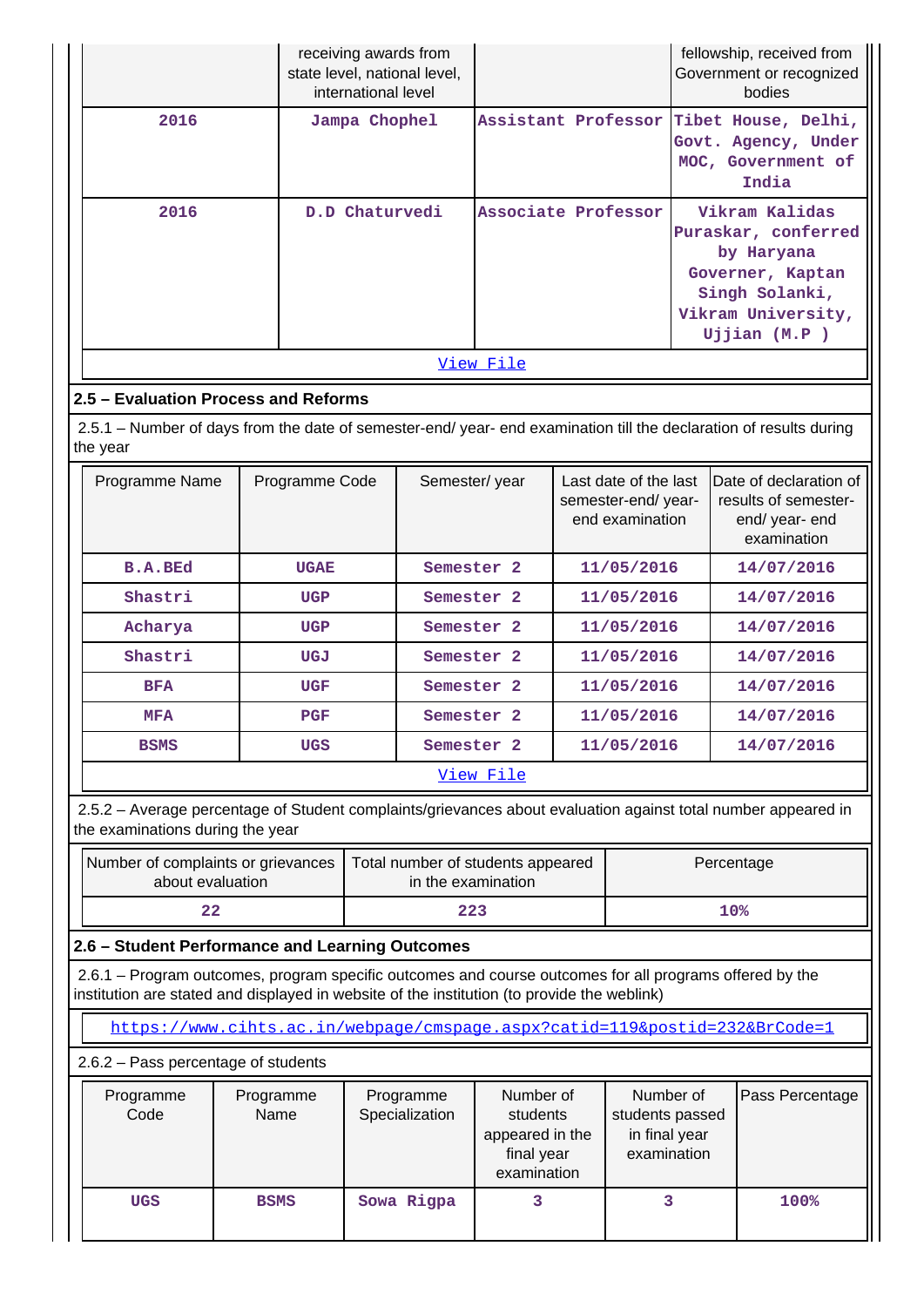|      | receiving awards from<br>state level, national level,<br>international level |                     | fellowship, received from<br>Government or recognized<br>bodies                                                                 |
|------|------------------------------------------------------------------------------|---------------------|---------------------------------------------------------------------------------------------------------------------------------|
| 2016 | Jampa Chophel                                                                |                     | Assistant Professor Tibet House, Delhi,<br>Govt. Agency, Under<br>MOC, Government of<br>India                                   |
| 2016 | D.D Chaturvedi                                                               | Associate Professor | Vikram Kalidas<br>Puraskar, conferred<br>by Haryana<br>Governer, Kaptan<br>Singh Solanki,<br>Vikram University,<br>Ujjian (M.P) |
|      |                                                                              | View File           |                                                                                                                                 |
| в.,  | And Dafau                                                                    |                     |                                                                                                                                 |

## **2.5 – Evaluation Process and Reforms**

 $\mathbf{L}$ 

 2.5.1 – Number of days from the date of semester-end/ year- end examination till the declaration of results during the year

| Programme Name | Programme Code | Semester/year         | Last date of the last<br>semester-end/year-<br>end examination | Date of declaration of<br>results of semester-<br>end/year-end<br>examination |
|----------------|----------------|-----------------------|----------------------------------------------------------------|-------------------------------------------------------------------------------|
| <b>B.A.BEd</b> | <b>UGAE</b>    | Semester <sub>2</sub> | 11/05/2016                                                     | 14/07/2016                                                                    |
| Shastri        | <b>UGP</b>     | Semester <sub>2</sub> | 11/05/2016                                                     | 14/07/2016                                                                    |
| Acharya        | <b>UGP</b>     | Semester <sub>2</sub> | 11/05/2016                                                     | 14/07/2016                                                                    |
| Shastri        | UGJ            | Semester <sub>2</sub> | 11/05/2016                                                     | 14/07/2016                                                                    |
| <b>BFA</b>     | <b>UGF</b>     | Semester <sub>2</sub> | 11/05/2016                                                     | 14/07/2016                                                                    |
| <b>MFA</b>     | <b>PGF</b>     | Semester <sub>2</sub> | 11/05/2016                                                     | 14/07/2016                                                                    |
| <b>BSMS</b>    | <b>UGS</b>     | Semester <sub>2</sub> | 11/05/2016                                                     | 14/07/2016                                                                    |
|                |                | View File             |                                                                |                                                                               |

 2.5.2 – Average percentage of Student complaints/grievances about evaluation against total number appeared in the examinations during the year

| Number of complaints or grievances<br>about evaluation | Total number of students appeared<br>in the examination | Percentage |
|--------------------------------------------------------|---------------------------------------------------------|------------|
| 22                                                     | 223                                                     | 10%        |

**2.6 – Student Performance and Learning Outcomes**

 2.6.1 – Program outcomes, program specific outcomes and course outcomes for all programs offered by the institution are stated and displayed in website of the institution (to provide the weblink)

<https://www.cihts.ac.in/webpage/cmspage.aspx?catid=119&postid=232&BrCode=1>

2.6.2 – Pass percentage of students

| Programme<br>Code | Programme<br>Name | Programme<br>Specialization | Number of<br>students<br>appeared in the<br>final year<br>examination | Number of<br>students passed<br>in final year<br>examination | Pass Percentage |
|-------------------|-------------------|-----------------------------|-----------------------------------------------------------------------|--------------------------------------------------------------|-----------------|
| <b>UGS</b>        | <b>BSMS</b>       | Sowa Rigpa                  |                                                                       |                                                              | 100%            |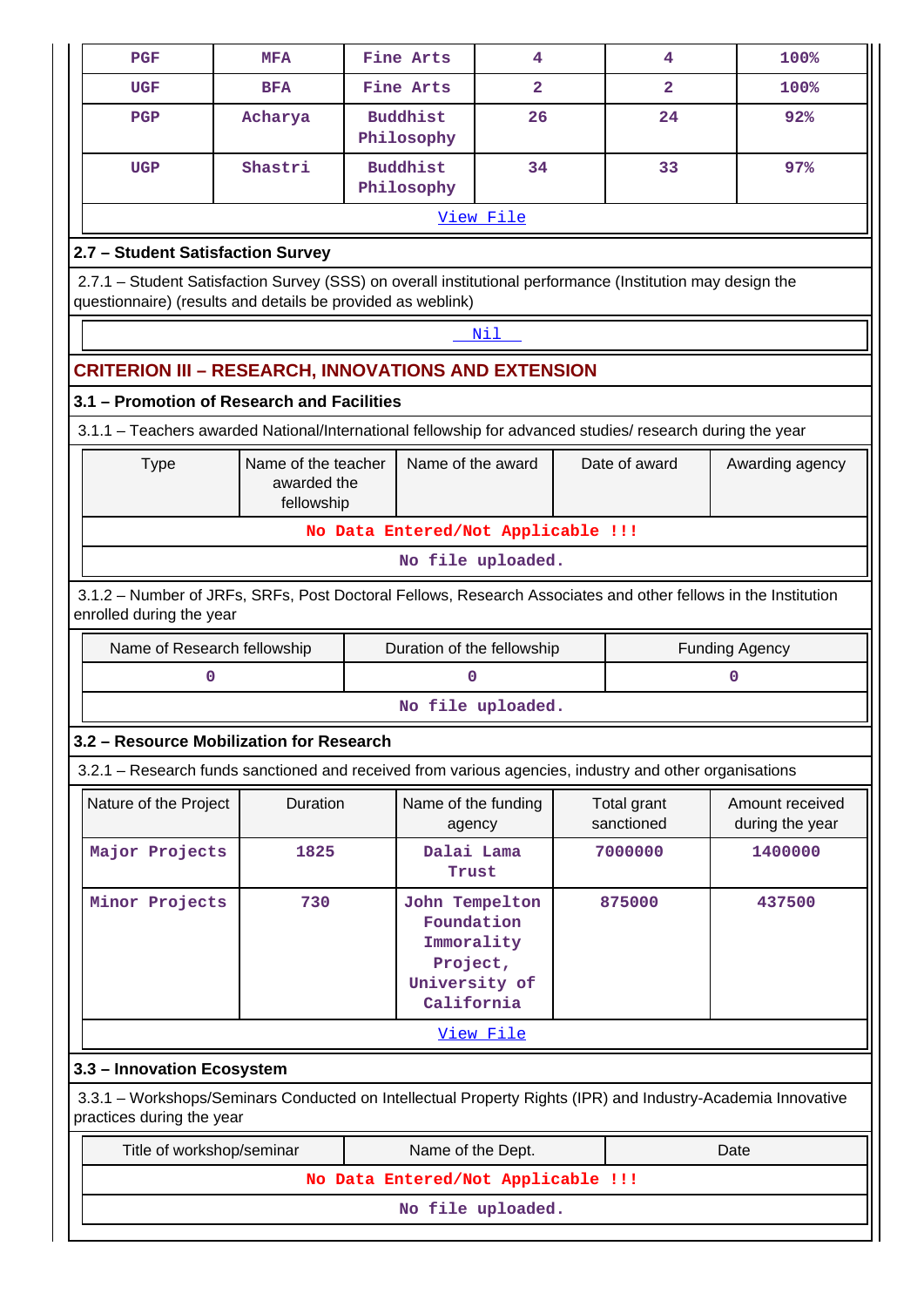| <b>PGF</b>                                                                                                                                                                | <b>MFA</b>                                       |                                                                                       | Fine Arts                     | 4                                  |               | 4                         | 100%                                                                                                        |  |  |  |  |  |
|---------------------------------------------------------------------------------------------------------------------------------------------------------------------------|--------------------------------------------------|---------------------------------------------------------------------------------------|-------------------------------|------------------------------------|---------------|---------------------------|-------------------------------------------------------------------------------------------------------------|--|--|--|--|--|
| <b>UGF</b>                                                                                                                                                                | <b>BFA</b>                                       |                                                                                       | Fine Arts                     | $\mathbf{2}$                       |               | 2                         | 100%                                                                                                        |  |  |  |  |  |
| <b>PGP</b>                                                                                                                                                                | Acharya                                          |                                                                                       | <b>Buddhist</b><br>Philosophy | 26                                 |               | 24                        | 92%                                                                                                         |  |  |  |  |  |
| <b>UGP</b>                                                                                                                                                                | Shastri                                          |                                                                                       | <b>Buddhist</b><br>Philosophy | 34                                 |               | 33                        | 97%                                                                                                         |  |  |  |  |  |
| View File                                                                                                                                                                 |                                                  |                                                                                       |                               |                                    |               |                           |                                                                                                             |  |  |  |  |  |
| 2.7 - Student Satisfaction Survey                                                                                                                                         |                                                  |                                                                                       |                               |                                    |               |                           |                                                                                                             |  |  |  |  |  |
| 2.7.1 - Student Satisfaction Survey (SSS) on overall institutional performance (Institution may design the<br>questionnaire) (results and details be provided as weblink) |                                                  |                                                                                       |                               |                                    |               |                           |                                                                                                             |  |  |  |  |  |
|                                                                                                                                                                           |                                                  |                                                                                       |                               | Nil                                |               |                           |                                                                                                             |  |  |  |  |  |
| <b>CRITERION III - RESEARCH, INNOVATIONS AND EXTENSION</b>                                                                                                                |                                                  |                                                                                       |                               |                                    |               |                           |                                                                                                             |  |  |  |  |  |
| 3.1 - Promotion of Research and Facilities                                                                                                                                |                                                  |                                                                                       |                               |                                    |               |                           |                                                                                                             |  |  |  |  |  |
| 3.1.1 - Teachers awarded National/International fellowship for advanced studies/ research during the year                                                                 |                                                  |                                                                                       |                               |                                    |               |                           |                                                                                                             |  |  |  |  |  |
| <b>Type</b>                                                                                                                                                               | Name of the teacher<br>awarded the<br>fellowship | Name of the award                                                                     |                               |                                    | Date of award | Awarding agency           |                                                                                                             |  |  |  |  |  |
|                                                                                                                                                                           |                                                  |                                                                                       |                               | No Data Entered/Not Applicable !!! |               |                           |                                                                                                             |  |  |  |  |  |
|                                                                                                                                                                           |                                                  |                                                                                       |                               | No file uploaded.                  |               |                           |                                                                                                             |  |  |  |  |  |
| 3.1.2 - Number of JRFs, SRFs, Post Doctoral Fellows, Research Associates and other fellows in the Institution<br>enrolled during the year                                 |                                                  |                                                                                       |                               |                                    |               |                           |                                                                                                             |  |  |  |  |  |
| Name of Research fellowship                                                                                                                                               |                                                  |                                                                                       |                               | Duration of the fellowship         |               |                           | <b>Funding Agency</b>                                                                                       |  |  |  |  |  |
| 0                                                                                                                                                                         |                                                  |                                                                                       | 0                             |                                    |               |                           | 0                                                                                                           |  |  |  |  |  |
|                                                                                                                                                                           |                                                  |                                                                                       |                               | No file uploaded.                  |               |                           |                                                                                                             |  |  |  |  |  |
| 3.2 – Resource Mobilization for Research                                                                                                                                  |                                                  |                                                                                       |                               |                                    |               |                           |                                                                                                             |  |  |  |  |  |
| 3.2.1 - Research funds sanctioned and received from various agencies, industry and other organisations                                                                    |                                                  |                                                                                       |                               |                                    |               |                           |                                                                                                             |  |  |  |  |  |
| Nature of the Project                                                                                                                                                     | <b>Duration</b>                                  |                                                                                       | Name of the funding<br>agency |                                    |               | Total grant<br>sanctioned | Amount received<br>during the year                                                                          |  |  |  |  |  |
| Major Projects                                                                                                                                                            | 1825                                             |                                                                                       | Dalai Lama<br>Trust           |                                    |               | 7000000                   | 1400000                                                                                                     |  |  |  |  |  |
| Minor Projects                                                                                                                                                            |                                                  | John Tempelton<br>Foundation<br>Immorality<br>Project,<br>University of<br>California |                               |                                    | 875000        | 437500                    |                                                                                                             |  |  |  |  |  |
|                                                                                                                                                                           |                                                  |                                                                                       |                               | View File                          |               |                           |                                                                                                             |  |  |  |  |  |
| 3.3 - Innovation Ecosystem                                                                                                                                                |                                                  |                                                                                       |                               |                                    |               |                           |                                                                                                             |  |  |  |  |  |
| practices during the year                                                                                                                                                 |                                                  |                                                                                       |                               |                                    |               |                           | 3.3.1 – Workshops/Seminars Conducted on Intellectual Property Rights (IPR) and Industry-Academia Innovative |  |  |  |  |  |
| Title of workshop/seminar                                                                                                                                                 |                                                  |                                                                                       | Name of the Dept.             |                                    |               |                           | Date                                                                                                        |  |  |  |  |  |
|                                                                                                                                                                           |                                                  |                                                                                       |                               | No Data Entered/Not Applicable !!! |               |                           |                                                                                                             |  |  |  |  |  |
|                                                                                                                                                                           |                                                  |                                                                                       |                               | No file uploaded.                  |               |                           |                                                                                                             |  |  |  |  |  |
|                                                                                                                                                                           |                                                  |                                                                                       |                               |                                    |               |                           |                                                                                                             |  |  |  |  |  |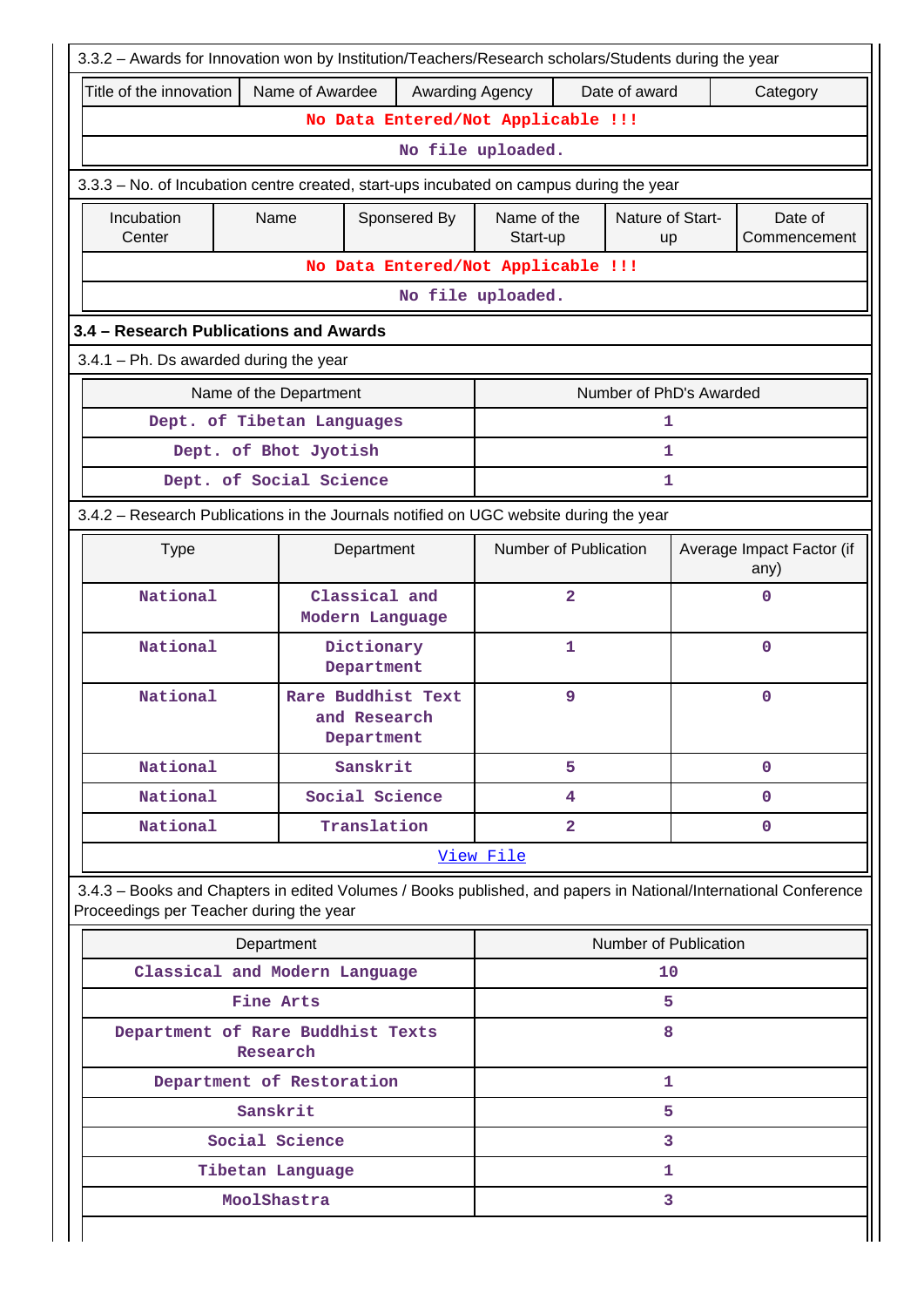|                                          |                                               | 3.3.2 - Awards for Innovation won by Institution/Teachers/Research scholars/Students during the year            |                         |                         |                               |                                   |
|------------------------------------------|-----------------------------------------------|-----------------------------------------------------------------------------------------------------------------|-------------------------|-------------------------|-------------------------------|-----------------------------------|
| Title of the innovation                  | Name of Awardee                               | Awarding Agency                                                                                                 |                         | Date of award           |                               | Category                          |
|                                          |                                               | No Data Entered/Not Applicable !!!                                                                              |                         |                         |                               |                                   |
|                                          |                                               |                                                                                                                 | No file uploaded.       |                         |                               |                                   |
|                                          |                                               | 3.3.3 - No. of Incubation centre created, start-ups incubated on campus during the year                         |                         |                         |                               |                                   |
| Incubation<br>Center                     | Name                                          | Sponsered By                                                                                                    | Name of the<br>Start-up |                         | Nature of Start-<br><b>up</b> | Date of<br>Commencement           |
|                                          |                                               | No Data Entered/Not Applicable !!!                                                                              |                         |                         |                               |                                   |
|                                          |                                               |                                                                                                                 | No file uploaded.       |                         |                               |                                   |
| 3.4 - Research Publications and Awards   |                                               |                                                                                                                 |                         |                         |                               |                                   |
| $3.4.1$ – Ph. Ds awarded during the year |                                               |                                                                                                                 |                         |                         |                               |                                   |
|                                          | Name of the Department                        |                                                                                                                 |                         | Number of PhD's Awarded |                               |                                   |
|                                          | Dept. of Tibetan Languages                    |                                                                                                                 |                         |                         | 1                             |                                   |
|                                          | Dept. of Bhot Jyotish                         |                                                                                                                 |                         |                         | 1                             |                                   |
|                                          | Dept. of Social Science                       |                                                                                                                 |                         |                         | 1                             |                                   |
|                                          |                                               | 3.4.2 - Research Publications in the Journals notified on UGC website during the year                           |                         |                         |                               |                                   |
| <b>Type</b>                              |                                               | Department                                                                                                      | Number of Publication   |                         |                               | Average Impact Factor (if<br>any) |
| National                                 |                                               | Classical and<br>Modern Language                                                                                | 2                       |                         | $\mathbf 0$                   |                                   |
| National                                 |                                               | Dictionary<br>Department                                                                                        | 1                       |                         | $\mathbf 0$                   |                                   |
| National                                 |                                               | Rare Buddhist Text<br>and Research<br>Department                                                                | 9                       |                         |                               | $\mathbf 0$                       |
| National                                 |                                               | Sanskrit                                                                                                        | 5                       |                         | $\mathbf{0}$                  |                                   |
| National                                 |                                               | Social Science                                                                                                  | 4                       |                         |                               | $\mathbf{0}$                      |
| National                                 |                                               | Translation                                                                                                     | $\mathbf{2}$            | $\mathbf 0$             |                               |                                   |
|                                          |                                               |                                                                                                                 | View File               |                         |                               |                                   |
| Proceedings per Teacher during the year  |                                               | 3.4.3 - Books and Chapters in edited Volumes / Books published, and papers in National/International Conference |                         |                         |                               |                                   |
|                                          | Department                                    |                                                                                                                 |                         | Number of Publication   |                               |                                   |
|                                          | Classical and Modern Language                 |                                                                                                                 |                         | 10                      |                               |                                   |
|                                          | Fine Arts                                     |                                                                                                                 |                         |                         | 5                             |                                   |
|                                          | Department of Rare Buddhist Texts<br>Research |                                                                                                                 |                         |                         | 8                             |                                   |
|                                          | Department of Restoration                     |                                                                                                                 |                         |                         | 1                             |                                   |
|                                          | Sanskrit                                      |                                                                                                                 |                         |                         | 5                             |                                   |
|                                          | Social Science                                |                                                                                                                 |                         |                         | 3                             |                                   |
|                                          | Tibetan Language                              |                                                                                                                 |                         |                         | 1                             |                                   |
|                                          | MoolShastra                                   |                                                                                                                 |                         |                         | 3                             |                                   |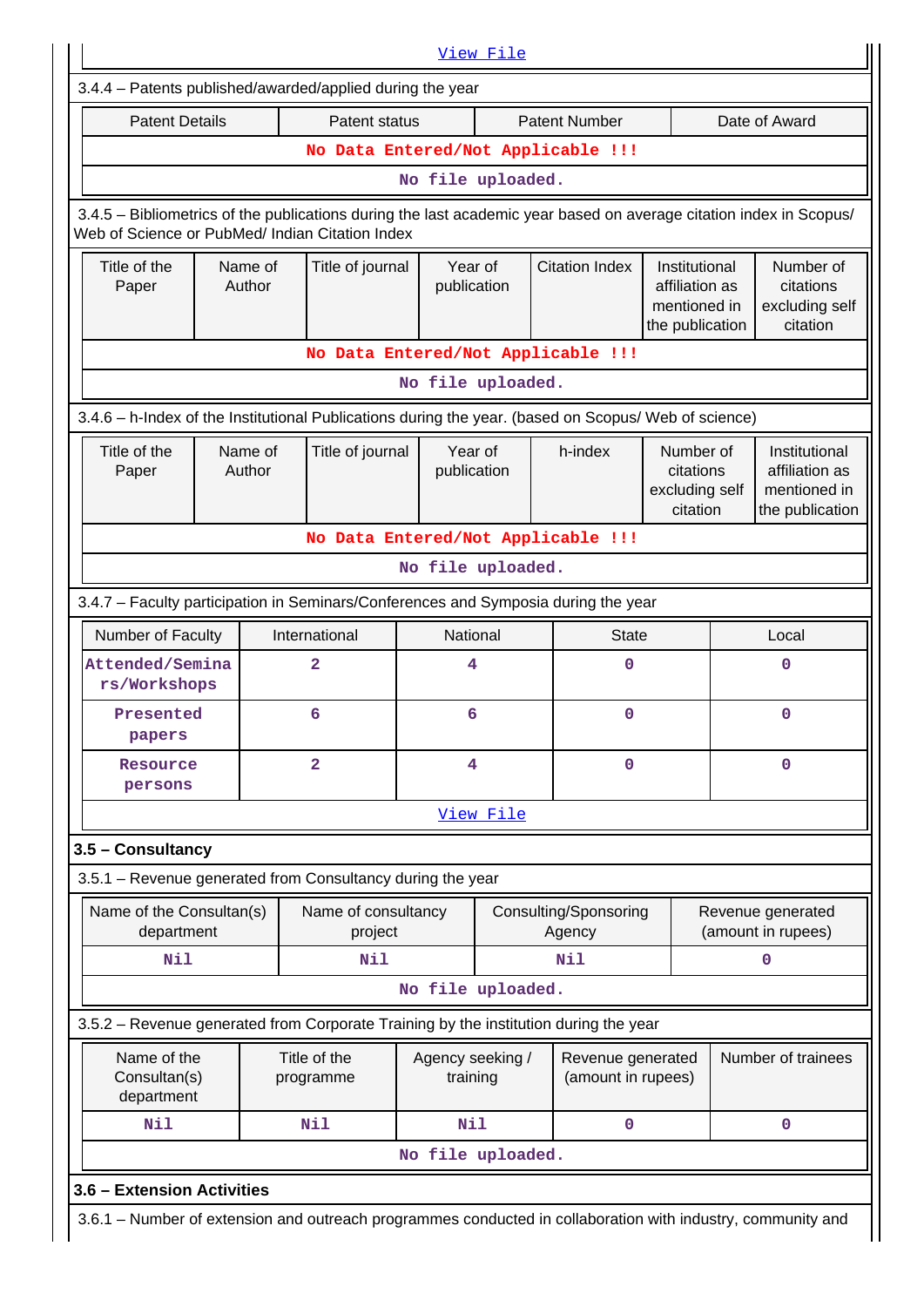| <b>Patent Details</b>                  |                                                                                  | Patent status                                                                                                      |                  |                                               | <b>Patent Number</b>            |                             |                             | Date of Award                           |
|----------------------------------------|----------------------------------------------------------------------------------|--------------------------------------------------------------------------------------------------------------------|------------------|-----------------------------------------------|---------------------------------|-----------------------------|-----------------------------|-----------------------------------------|
|                                        |                                                                                  | No Data Entered/Not Applicable !!!                                                                                 |                  |                                               |                                 |                             |                             |                                         |
|                                        |                                                                                  |                                                                                                                    |                  | No file uploaded.                             |                                 |                             |                             |                                         |
|                                        |                                                                                  | 3.4.5 - Bibliometrics of the publications during the last academic year based on average citation index in Scopus/ |                  |                                               |                                 |                             |                             |                                         |
|                                        |                                                                                  | Web of Science or PubMed/ Indian Citation Index                                                                    |                  |                                               |                                 |                             |                             |                                         |
| Title of the                           | Year of<br><b>Citation Index</b><br>Name of<br>Title of journal<br>Institutional |                                                                                                                    |                  | Number of                                     |                                 |                             |                             |                                         |
| Paper                                  | Author                                                                           |                                                                                                                    |                  | publication<br>affiliation as<br>mentioned in |                                 |                             | citations<br>excluding self |                                         |
|                                        |                                                                                  |                                                                                                                    |                  |                                               | citation<br>the publication     |                             |                             |                                         |
|                                        |                                                                                  | No Data Entered/Not Applicable !!!                                                                                 |                  |                                               |                                 |                             |                             |                                         |
|                                        |                                                                                  |                                                                                                                    |                  | No file uploaded.                             |                                 |                             |                             |                                         |
|                                        |                                                                                  | 3.4.6 - h-Index of the Institutional Publications during the year. (based on Scopus/ Web of science)               |                  |                                               |                                 |                             |                             |                                         |
| Title of the                           | Name of                                                                          | Title of journal                                                                                                   | Year of          |                                               | h-index                         | Number of                   |                             | Institutional                           |
| Paper                                  | Author                                                                           |                                                                                                                    | publication      |                                               |                                 | citations<br>excluding self |                             | affiliation as<br>mentioned in          |
|                                        |                                                                                  |                                                                                                                    |                  |                                               |                                 | citation                    |                             | the publication                         |
|                                        |                                                                                  | No Data Entered/Not Applicable !!!                                                                                 |                  |                                               |                                 |                             |                             |                                         |
|                                        |                                                                                  |                                                                                                                    |                  | No file uploaded.                             |                                 |                             |                             |                                         |
|                                        |                                                                                  | 3.4.7 - Faculty participation in Seminars/Conferences and Symposia during the year                                 |                  |                                               |                                 |                             |                             |                                         |
| Number of Faculty                      |                                                                                  | International                                                                                                      | National         |                                               | <b>State</b>                    |                             |                             | Local                                   |
| Attended/Semina                        |                                                                                  | 2                                                                                                                  | 4                |                                               | 0                               |                             |                             | $\mathbf 0$                             |
| rs/Workshops                           |                                                                                  | 6                                                                                                                  |                  |                                               | 0                               |                             |                             | $\mathbf 0$                             |
| Presented<br>papers                    |                                                                                  |                                                                                                                    | 6                |                                               |                                 |                             |                             |                                         |
| Resource                               |                                                                                  | $\overline{2}$                                                                                                     | 4                |                                               | 0                               |                             |                             | $\mathbf 0$                             |
| persons                                |                                                                                  |                                                                                                                    |                  |                                               |                                 |                             |                             |                                         |
|                                        |                                                                                  |                                                                                                                    |                  | View File                                     |                                 |                             |                             |                                         |
| 3.5 - Consultancy                      |                                                                                  |                                                                                                                    |                  |                                               |                                 |                             |                             |                                         |
|                                        |                                                                                  | 3.5.1 - Revenue generated from Consultancy during the year                                                         |                  |                                               |                                 |                             |                             |                                         |
| Name of the Consultan(s)<br>department |                                                                                  | Name of consultancy<br>project                                                                                     |                  |                                               | Consulting/Sponsoring<br>Agency |                             |                             | Revenue generated<br>(amount in rupees) |
| Nil                                    |                                                                                  | <b>Nil</b>                                                                                                         |                  |                                               | <b>Nil</b>                      |                             |                             | 0                                       |
|                                        |                                                                                  |                                                                                                                    |                  | No file uploaded.                             |                                 |                             |                             |                                         |
|                                        |                                                                                  | 3.5.2 – Revenue generated from Corporate Training by the institution during the year                               |                  |                                               |                                 |                             |                             |                                         |
| Name of the                            |                                                                                  | Title of the                                                                                                       | Agency seeking / |                                               | Revenue generated               |                             |                             | Number of trainees                      |
| Consultan(s)<br>department             |                                                                                  | programme                                                                                                          | training         |                                               | (amount in rupees)              |                             |                             |                                         |
| Nil                                    |                                                                                  | Nil                                                                                                                | Nil              |                                               | 0                               |                             |                             | $\mathbf 0$                             |
| No file uploaded.                      |                                                                                  |                                                                                                                    |                  |                                               |                                 |                             |                             |                                         |
|                                        |                                                                                  |                                                                                                                    |                  |                                               |                                 |                             |                             |                                         |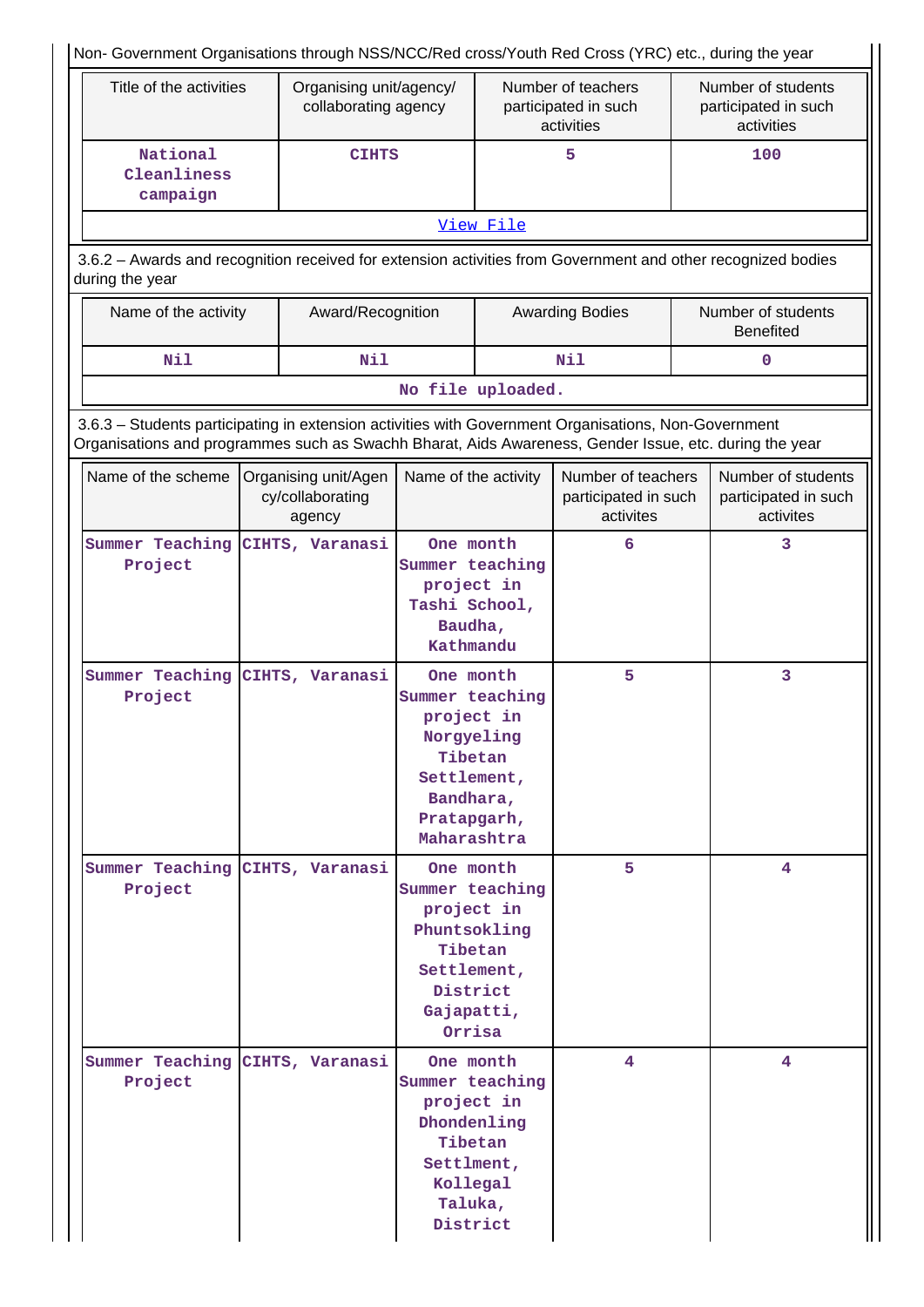| Non- Government Organisations through NSS/NCC/Red cross/Youth Red Cross (YRC) etc., during the year                                                                                                            |                                                                                                              |                                                    |                                                                                                                                               |           |                                                          |                                                          |                                                         |  |  |  |  |  |
|----------------------------------------------------------------------------------------------------------------------------------------------------------------------------------------------------------------|--------------------------------------------------------------------------------------------------------------|----------------------------------------------------|-----------------------------------------------------------------------------------------------------------------------------------------------|-----------|----------------------------------------------------------|----------------------------------------------------------|---------------------------------------------------------|--|--|--|--|--|
| Title of the activities                                                                                                                                                                                        |                                                                                                              | Organising unit/agency/<br>collaborating agency    |                                                                                                                                               |           | Number of teachers<br>participated in such<br>activities | Number of students<br>participated in such<br>activities |                                                         |  |  |  |  |  |
| National<br>Cleanliness<br>campaign                                                                                                                                                                            |                                                                                                              | <b>CIHTS</b>                                       |                                                                                                                                               |           | 5                                                        |                                                          | 100                                                     |  |  |  |  |  |
|                                                                                                                                                                                                                |                                                                                                              |                                                    |                                                                                                                                               | View File |                                                          |                                                          |                                                         |  |  |  |  |  |
| during the year                                                                                                                                                                                                | 3.6.2 - Awards and recognition received for extension activities from Government and other recognized bodies |                                                    |                                                                                                                                               |           |                                                          |                                                          |                                                         |  |  |  |  |  |
|                                                                                                                                                                                                                | Name of the activity<br>Award/Recognition                                                                    |                                                    |                                                                                                                                               |           | <b>Awarding Bodies</b>                                   |                                                          | Number of students<br><b>Benefited</b>                  |  |  |  |  |  |
| Nil                                                                                                                                                                                                            |                                                                                                              | Nil                                                |                                                                                                                                               |           | Nil                                                      |                                                          | $\mathbf 0$                                             |  |  |  |  |  |
|                                                                                                                                                                                                                |                                                                                                              |                                                    | No file uploaded.                                                                                                                             |           |                                                          |                                                          |                                                         |  |  |  |  |  |
| 3.6.3 - Students participating in extension activities with Government Organisations, Non-Government<br>Organisations and programmes such as Swachh Bharat, Aids Awareness, Gender Issue, etc. during the year |                                                                                                              |                                                    |                                                                                                                                               |           |                                                          |                                                          |                                                         |  |  |  |  |  |
| Name of the scheme                                                                                                                                                                                             |                                                                                                              | Organising unit/Agen<br>cy/collaborating<br>agency | Name of the activity                                                                                                                          |           | Number of teachers<br>participated in such<br>activites  |                                                          | Number of students<br>participated in such<br>activites |  |  |  |  |  |
| Summer Teaching<br>Project                                                                                                                                                                                     |                                                                                                              | CIHTS, Varanasi                                    | One month<br>Summer teaching<br>project in<br>Tashi School,<br>Baudha,<br>Kathmandu                                                           |           | 6                                                        |                                                          | 3                                                       |  |  |  |  |  |
| Summer Teaching<br>Project                                                                                                                                                                                     |                                                                                                              | CIHTS, Varanasi                                    | One month<br>Summer teaching<br>project in<br>Norgyeling<br>Tibetan<br>Settlement,<br>Bandhara,<br>Pratapgarh,<br>Maharashtra                 |           | 5                                                        |                                                          | 3                                                       |  |  |  |  |  |
| Summer Teaching CIHTS, Varanasi<br>Project                                                                                                                                                                     |                                                                                                              |                                                    | One month<br>Summer teaching<br>project in<br>Phuntsokling<br>Tibetan<br>Settlement,<br>District                                              |           | 5                                                        |                                                          | 4                                                       |  |  |  |  |  |
| Summer Teaching CIHTS, Varanasi<br>Project                                                                                                                                                                     |                                                                                                              |                                                    | Gajapatti,<br>Orrisa<br>One month<br>Summer teaching<br>project in<br>Dhondenling<br>Tibetan<br>Settlment,<br>Kollegal<br>Taluka,<br>District |           | 4                                                        |                                                          | 4                                                       |  |  |  |  |  |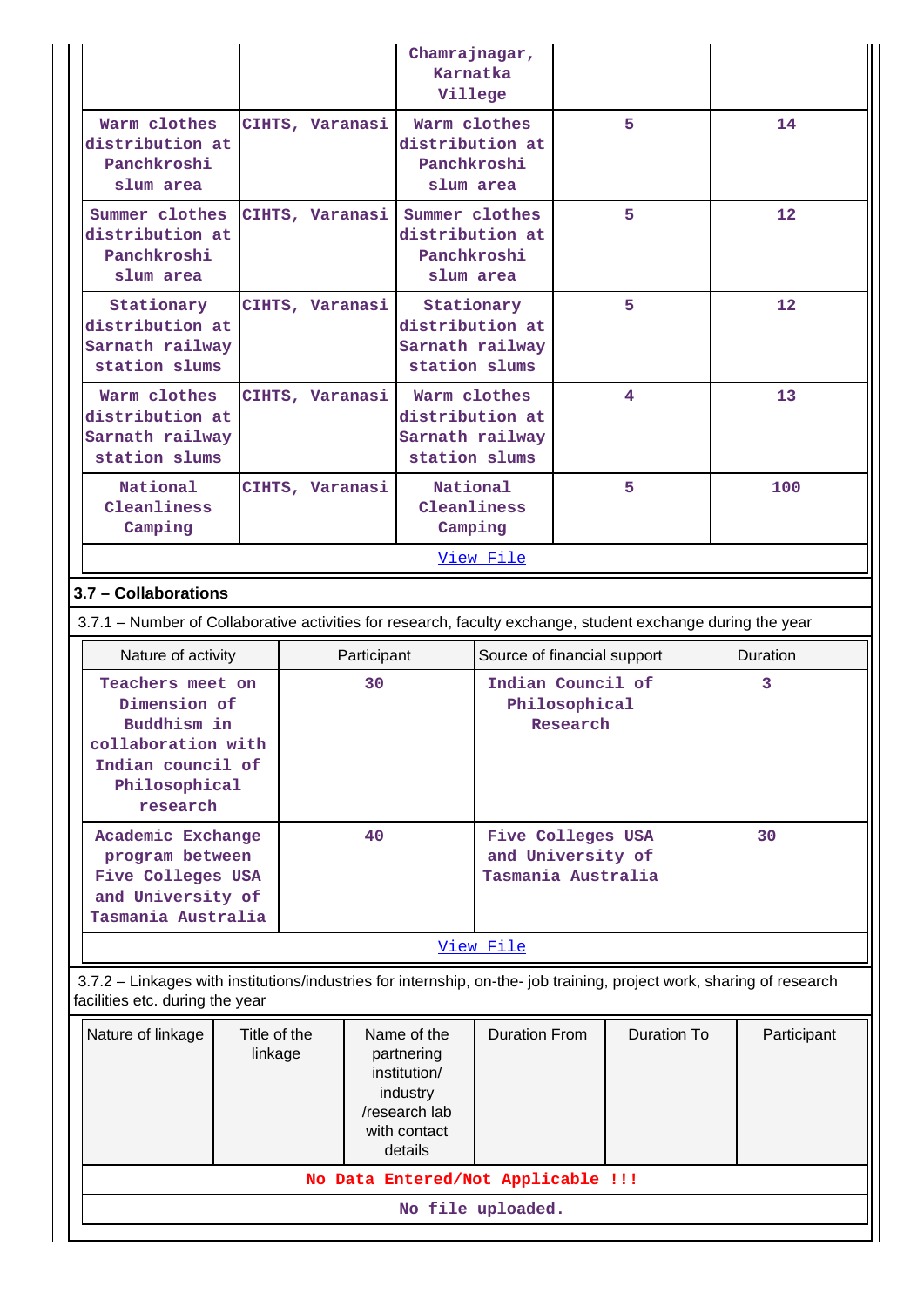|                                                                                                                                                          |                         |                 | Chamrajnagar,<br>Karnatka<br>Villege |                                                                                                   |                                                                     |                           |                    |  |             |  |
|----------------------------------------------------------------------------------------------------------------------------------------------------------|-------------------------|-----------------|--------------------------------------|---------------------------------------------------------------------------------------------------|---------------------------------------------------------------------|---------------------------|--------------------|--|-------------|--|
| Warm clothes<br>distribution at<br>Panchkroshi<br>slum area                                                                                              |                         | CIHTS, Varanasi |                                      | Warm clothes<br>distribution at<br>Panchkroshi                                                    | slum area                                                           |                           | 5                  |  | 14          |  |
| Summer clothes<br>distribution at<br>Panchkroshi<br>slum area                                                                                            |                         | CIHTS, Varanasi |                                      | Summer clothes<br>distribution at<br>Panchkroshi<br>slum area                                     |                                                                     | 5                         |                    |  | 12          |  |
| Stationary<br>distribution at<br>Sarnath railway<br>station slums                                                                                        |                         | CIHTS, Varanasi |                                      | distribution at<br>station slums                                                                  | Stationary<br>Sarnath railway                                       | 5                         |                    |  | 12          |  |
| Warm clothes<br>distribution at<br>Sarnath railway<br>station slums                                                                                      |                         | CIHTS, Varanasi |                                      |                                                                                                   | Warm clothes<br>distribution at<br>Sarnath railway<br>station slums |                           | 4                  |  | 13          |  |
| <b>National</b><br>Cleanliness<br>Camping                                                                                                                |                         | CIHTS, Varanasi |                                      | National<br>Cleanliness<br>Camping                                                                |                                                                     | 5                         |                    |  | 100         |  |
| View File                                                                                                                                                |                         |                 |                                      |                                                                                                   |                                                                     |                           |                    |  |             |  |
| 3.7 - Collaborations                                                                                                                                     |                         |                 |                                      |                                                                                                   |                                                                     |                           |                    |  |             |  |
| 3.7.1 – Number of Collaborative activities for research, faculty exchange, student exchange during the year                                              |                         |                 |                                      |                                                                                                   |                                                                     |                           |                    |  |             |  |
|                                                                                                                                                          |                         |                 |                                      |                                                                                                   |                                                                     |                           |                    |  |             |  |
| Nature of activity                                                                                                                                       |                         |                 | Participant                          |                                                                                                   | Source of financial support                                         |                           |                    |  | Duration    |  |
| Teachers meet on<br>Dimension of<br>Buddhism in<br>collaboration with<br>Indian council of<br>Philosophical                                              |                         |                 | 30                                   |                                                                                                   | Indian Council of                                                   | Philosophical<br>Research |                    |  | 3           |  |
| research<br>Academic Exchange<br>program between<br>Five Colleges USA<br>and University of                                                               |                         |                 | 40                                   |                                                                                                   | Five Colleges USA<br>and University of<br>Tasmania Australia        |                           |                    |  | 30          |  |
| Tasmania Australia                                                                                                                                       |                         |                 |                                      |                                                                                                   |                                                                     |                           |                    |  |             |  |
| 3.7.2 - Linkages with institutions/industries for internship, on-the- job training, project work, sharing of research<br>facilities etc. during the year |                         |                 |                                      |                                                                                                   | View File                                                           |                           |                    |  |             |  |
| Nature of linkage                                                                                                                                        | Title of the<br>linkage |                 |                                      | Name of the<br>partnering<br>institution/<br>industry<br>/research lab<br>with contact<br>details | <b>Duration From</b>                                                |                           | <b>Duration To</b> |  | Participant |  |
|                                                                                                                                                          |                         |                 |                                      |                                                                                                   | No Data Entered/Not Applicable !!!                                  |                           |                    |  |             |  |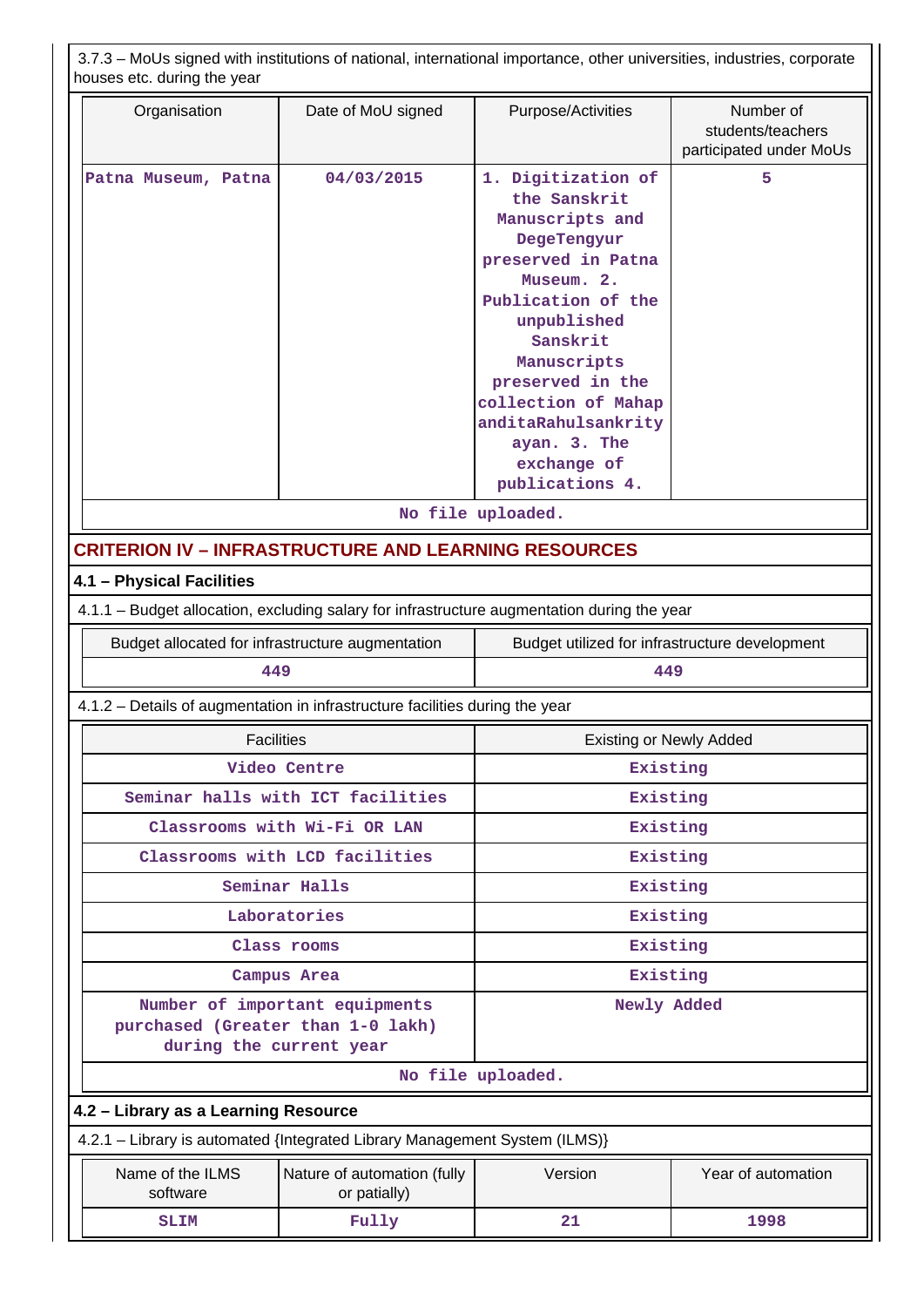3.7.3 – MoUs signed with institutions of national, international importance, other universities, industries, corporate houses etc. during the year

| Organisation                                                                                | Date of MoU signed                              | Number of<br>Purpose/Activities<br>students/teachers<br>participated under MoUs                                                                                                                                                                                                              |                    |  |  |  |  |  |  |  |
|---------------------------------------------------------------------------------------------|-------------------------------------------------|----------------------------------------------------------------------------------------------------------------------------------------------------------------------------------------------------------------------------------------------------------------------------------------------|--------------------|--|--|--|--|--|--|--|
| Patna Museum, Patna                                                                         | 04/03/2015                                      | 1. Digitization of<br>the Sanskrit<br>Manuscripts and<br>DegeTengyur<br>preserved in Patna<br>Museum. 2.<br>Publication of the<br>unpublished<br>Sanskrit<br>Manuscripts<br>preserved in the<br>collection of Mahap<br>anditaRahulsankrity<br>ayan. 3. The<br>exchange of<br>publications 4. | 5                  |  |  |  |  |  |  |  |
|                                                                                             |                                                 | No file uploaded.                                                                                                                                                                                                                                                                            |                    |  |  |  |  |  |  |  |
| <b>CRITERION IV - INFRASTRUCTURE AND LEARNING RESOURCES</b>                                 |                                                 |                                                                                                                                                                                                                                                                                              |                    |  |  |  |  |  |  |  |
| 4.1 - Physical Facilities                                                                   |                                                 |                                                                                                                                                                                                                                                                                              |                    |  |  |  |  |  |  |  |
| 4.1.1 – Budget allocation, excluding salary for infrastructure augmentation during the year |                                                 |                                                                                                                                                                                                                                                                                              |                    |  |  |  |  |  |  |  |
| Budget allocated for infrastructure augmentation                                            |                                                 | Budget utilized for infrastructure development                                                                                                                                                                                                                                               |                    |  |  |  |  |  |  |  |
| 449                                                                                         |                                                 | 449                                                                                                                                                                                                                                                                                          |                    |  |  |  |  |  |  |  |
| 4.1.2 - Details of augmentation in infrastructure facilities during the year                |                                                 |                                                                                                                                                                                                                                                                                              |                    |  |  |  |  |  |  |  |
| <b>Facilities</b>                                                                           |                                                 | <b>Existing or Newly Added</b>                                                                                                                                                                                                                                                               |                    |  |  |  |  |  |  |  |
|                                                                                             | Video Centre                                    | Existing                                                                                                                                                                                                                                                                                     |                    |  |  |  |  |  |  |  |
|                                                                                             | Seminar halls with ICT facilities               | Existing                                                                                                                                                                                                                                                                                     |                    |  |  |  |  |  |  |  |
|                                                                                             | Classrooms with Wi-Fi OR LAN                    | Existing                                                                                                                                                                                                                                                                                     |                    |  |  |  |  |  |  |  |
|                                                                                             | Classrooms with LCD facilities<br>Seminar Halls | Existing<br>Existing                                                                                                                                                                                                                                                                         |                    |  |  |  |  |  |  |  |
|                                                                                             | Laboratories                                    | Existing                                                                                                                                                                                                                                                                                     |                    |  |  |  |  |  |  |  |
|                                                                                             | Class rooms                                     | Existing                                                                                                                                                                                                                                                                                     |                    |  |  |  |  |  |  |  |
|                                                                                             | Campus Area                                     | Existing                                                                                                                                                                                                                                                                                     |                    |  |  |  |  |  |  |  |
| purchased (Greater than 1-0 lakh)<br>during the current year                                | Number of important equipments                  | Newly Added                                                                                                                                                                                                                                                                                  |                    |  |  |  |  |  |  |  |
|                                                                                             |                                                 | No file uploaded.                                                                                                                                                                                                                                                                            |                    |  |  |  |  |  |  |  |
|                                                                                             | 4.2 - Library as a Learning Resource            |                                                                                                                                                                                                                                                                                              |                    |  |  |  |  |  |  |  |
| 4.2.1 - Library is automated {Integrated Library Management System (ILMS)}                  |                                                 |                                                                                                                                                                                                                                                                                              |                    |  |  |  |  |  |  |  |
| Name of the ILMS<br>software                                                                | Nature of automation (fully<br>or patially)     | Version                                                                                                                                                                                                                                                                                      | Year of automation |  |  |  |  |  |  |  |
| SLIM                                                                                        | Fully                                           | 21                                                                                                                                                                                                                                                                                           | 1998               |  |  |  |  |  |  |  |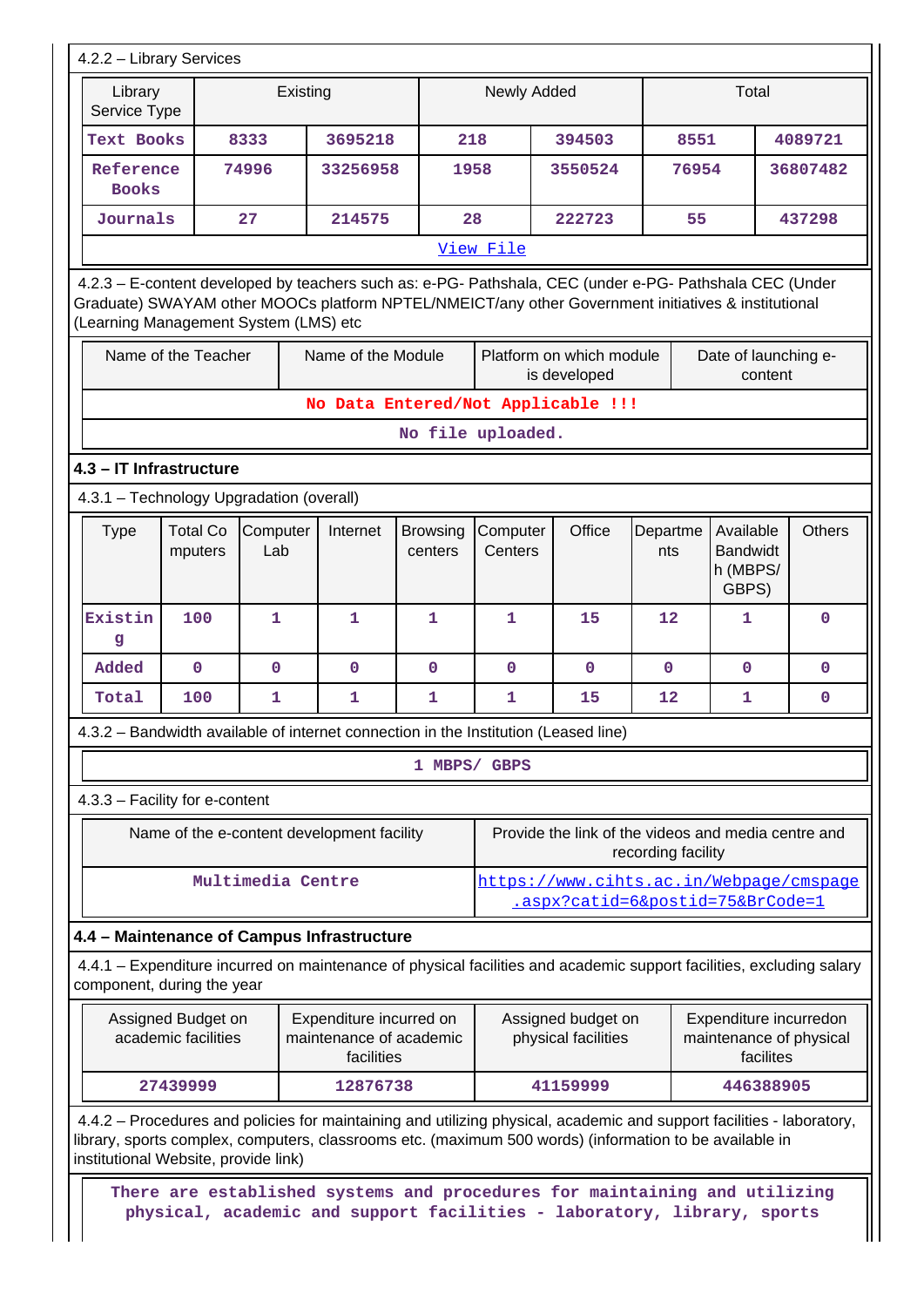|                                                                                                                                                                                                                                                         | 4.2.2 - Library Services                   |                   |          |                                                                  |                            |                     |                                                                             |                                                                                                                                                                                                                                  |                 |       |                                                   |           |                                                   |
|---------------------------------------------------------------------------------------------------------------------------------------------------------------------------------------------------------------------------------------------------------|--------------------------------------------|-------------------|----------|------------------------------------------------------------------|----------------------------|---------------------|-----------------------------------------------------------------------------|----------------------------------------------------------------------------------------------------------------------------------------------------------------------------------------------------------------------------------|-----------------|-------|---------------------------------------------------|-----------|---------------------------------------------------|
| Library<br>Service Type                                                                                                                                                                                                                                 |                                            |                   | Existing |                                                                  |                            | Newly Added         |                                                                             |                                                                                                                                                                                                                                  |                 |       | Total                                             |           |                                                   |
| Text Books                                                                                                                                                                                                                                              |                                            | 8333              |          | 3695218                                                          |                            | 218                 |                                                                             | 394503                                                                                                                                                                                                                           |                 | 8551  |                                                   |           | 4089721                                           |
| Reference<br><b>Books</b>                                                                                                                                                                                                                               |                                            | 74996             |          | 33256958                                                         |                            | 1958                |                                                                             | 3550524                                                                                                                                                                                                                          |                 | 76954 |                                                   |           | 36807482                                          |
| Journals                                                                                                                                                                                                                                                |                                            | 27                |          | 214575                                                           |                            | 28                  |                                                                             | 222723                                                                                                                                                                                                                           |                 | 55    |                                                   |           | 437298                                            |
|                                                                                                                                                                                                                                                         |                                            |                   |          |                                                                  |                            | View File           |                                                                             |                                                                                                                                                                                                                                  |                 |       |                                                   |           |                                                   |
| 4.2.3 - E-content developed by teachers such as: e-PG- Pathshala, CEC (under e-PG- Pathshala CEC (Under<br>Graduate) SWAYAM other MOOCs platform NPTEL/NMEICT/any other Government initiatives & institutional<br>(Learning Management System (LMS) etc |                                            |                   |          |                                                                  |                            |                     |                                                                             |                                                                                                                                                                                                                                  |                 |       |                                                   |           |                                                   |
|                                                                                                                                                                                                                                                         | Name of the Teacher                        |                   |          | Name of the Module                                               |                            |                     |                                                                             | Platform on which module<br>is developed                                                                                                                                                                                         |                 |       |                                                   | content   | Date of launching e-                              |
|                                                                                                                                                                                                                                                         |                                            |                   |          |                                                                  |                            |                     |                                                                             | No Data Entered/Not Applicable !!!                                                                                                                                                                                               |                 |       |                                                   |           |                                                   |
|                                                                                                                                                                                                                                                         |                                            |                   |          |                                                                  |                            | No file uploaded.   |                                                                             |                                                                                                                                                                                                                                  |                 |       |                                                   |           |                                                   |
|                                                                                                                                                                                                                                                         | 4.3 - IT Infrastructure                    |                   |          |                                                                  |                            |                     |                                                                             |                                                                                                                                                                                                                                  |                 |       |                                                   |           |                                                   |
|                                                                                                                                                                                                                                                         | 4.3.1 - Technology Upgradation (overall)   |                   |          |                                                                  |                            |                     |                                                                             |                                                                                                                                                                                                                                  |                 |       |                                                   |           |                                                   |
| <b>Type</b>                                                                                                                                                                                                                                             | <b>Total Co</b><br>mputers                 | Computer<br>Lab   |          | Internet                                                         | <b>Browsing</b><br>centers | Computer<br>Centers |                                                                             | Office                                                                                                                                                                                                                           | Departme<br>nts |       | Available<br><b>Bandwidt</b><br>h (MBPS/<br>GBPS) |           | <b>Others</b>                                     |
| Existin<br>g                                                                                                                                                                                                                                            | 100                                        | $\mathbf{1}$      |          | $\mathbf{1}$                                                     | $\mathbf{1}$               | $\mathbf 1$         |                                                                             | 15                                                                                                                                                                                                                               | 12              |       | 1                                                 |           | $\mathbf 0$                                       |
| Added                                                                                                                                                                                                                                                   | $\mathbf 0$                                | $\mathbf{O}$      |          | $\mathbf 0$                                                      | $\mathbf 0$                | $\mathbf 0$         |                                                                             | $\mathbf{0}$                                                                                                                                                                                                                     | $\mathbf{0}$    |       | $\mathbf{0}$                                      |           | $\mathbf{0}$                                      |
| Total                                                                                                                                                                                                                                                   | 100                                        | $\mathbf{1}$      |          | $\mathbf{1}$                                                     | $\mathbf{1}$               | $\mathbf 1$         |                                                                             | 15                                                                                                                                                                                                                               | 12              |       | 1                                                 |           | $\mathbf 0$                                       |
|                                                                                                                                                                                                                                                         |                                            |                   |          |                                                                  |                            |                     |                                                                             | 4.3.2 – Bandwidth available of internet connection in the Institution (Leased line)                                                                                                                                              |                 |       |                                                   |           |                                                   |
|                                                                                                                                                                                                                                                         |                                            |                   |          |                                                                  |                            | 1 MBPS/ GBPS        |                                                                             |                                                                                                                                                                                                                                  |                 |       |                                                   |           |                                                   |
|                                                                                                                                                                                                                                                         | 4.3.3 - Facility for e-content             |                   |          |                                                                  |                            |                     |                                                                             |                                                                                                                                                                                                                                  |                 |       |                                                   |           |                                                   |
|                                                                                                                                                                                                                                                         | Name of the e-content development facility |                   |          |                                                                  |                            |                     | Provide the link of the videos and media centre and<br>recording facility   |                                                                                                                                                                                                                                  |                 |       |                                                   |           |                                                   |
|                                                                                                                                                                                                                                                         |                                            | Multimedia Centre |          |                                                                  |                            |                     | https://www.cihts.ac.in/Webpage/cmspage<br>.aspx?catid=6&postid=75&BrCode=1 |                                                                                                                                                                                                                                  |                 |       |                                                   |           |                                                   |
|                                                                                                                                                                                                                                                         | 4.4 - Maintenance of Campus Infrastructure |                   |          |                                                                  |                            |                     |                                                                             |                                                                                                                                                                                                                                  |                 |       |                                                   |           |                                                   |
|                                                                                                                                                                                                                                                         | component, during the year                 |                   |          |                                                                  |                            |                     |                                                                             | 4.4.1 – Expenditure incurred on maintenance of physical facilities and academic support facilities, excluding salary                                                                                                             |                 |       |                                                   |           |                                                   |
|                                                                                                                                                                                                                                                         | Assigned Budget on<br>academic facilities  |                   |          | Expenditure incurred on<br>maintenance of academic<br>facilities |                            |                     |                                                                             | Assigned budget on<br>physical facilities                                                                                                                                                                                        |                 |       |                                                   | facilites | Expenditure incurredon<br>maintenance of physical |
|                                                                                                                                                                                                                                                         | 27439999                                   |                   |          | 12876738                                                         |                            |                     |                                                                             | 41159999                                                                                                                                                                                                                         |                 |       |                                                   | 446388905 |                                                   |
|                                                                                                                                                                                                                                                         | institutional Website, provide link)       |                   |          |                                                                  |                            |                     |                                                                             | 4.4.2 - Procedures and policies for maintaining and utilizing physical, academic and support facilities - laboratory,<br>library, sports complex, computers, classrooms etc. (maximum 500 words) (information to be available in |                 |       |                                                   |           |                                                   |
|                                                                                                                                                                                                                                                         |                                            |                   |          |                                                                  |                            |                     |                                                                             | There are established systems and procedures for maintaining and utilizing<br>physical, academic and support facilities - laboratory, library, sports                                                                            |                 |       |                                                   |           |                                                   |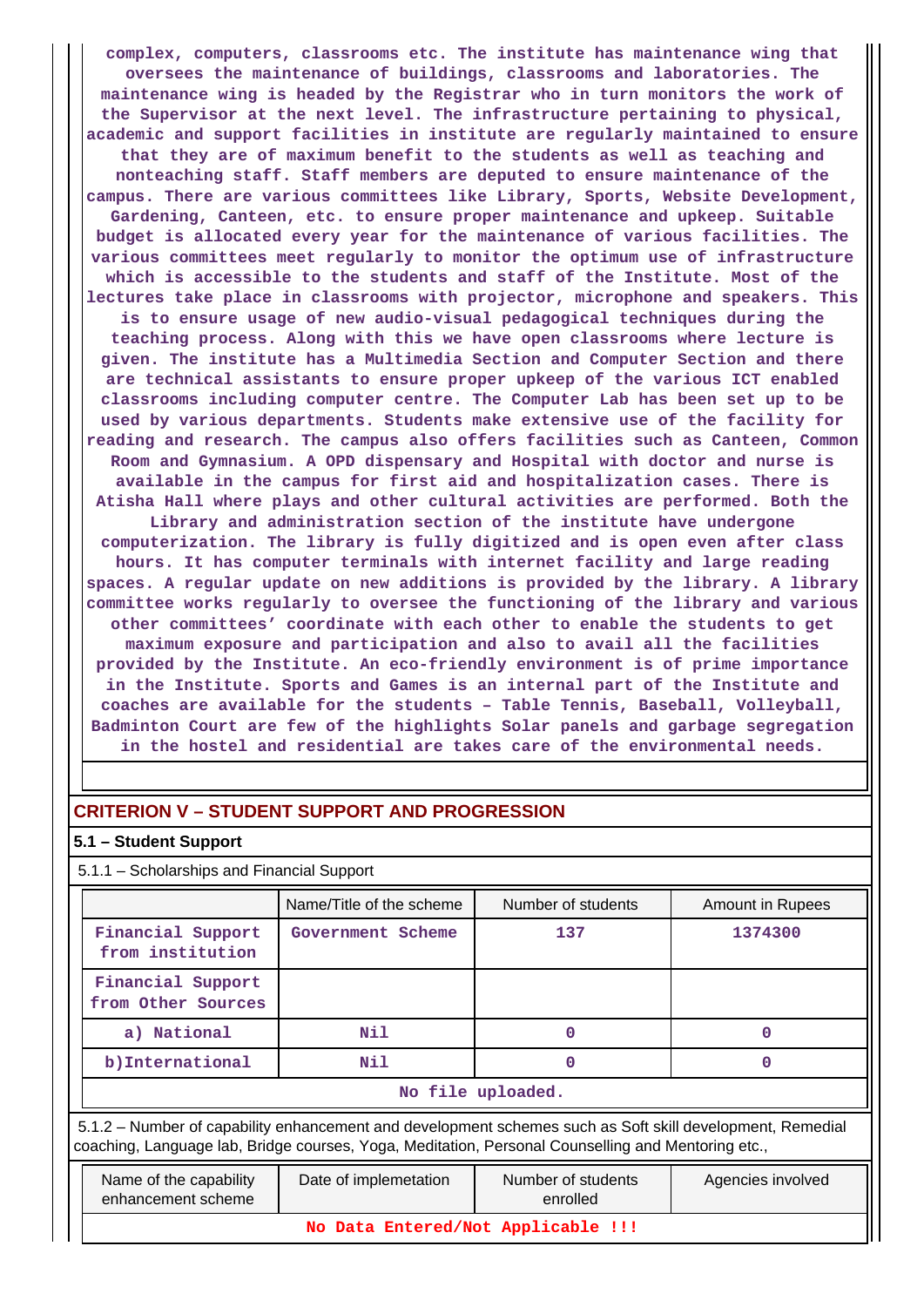**complex, computers, classrooms etc. The institute has maintenance wing that oversees the maintenance of buildings, classrooms and laboratories. The maintenance wing is headed by the Registrar who in turn monitors the work of the Supervisor at the next level. The infrastructure pertaining to physical, academic and support facilities in institute are regularly maintained to ensure that they are of maximum benefit to the students as well as teaching and nonteaching staff. Staff members are deputed to ensure maintenance of the campus. There are various committees like Library, Sports, Website Development, Gardening, Canteen, etc. to ensure proper maintenance and upkeep. Suitable budget is allocated every year for the maintenance of various facilities. The various committees meet regularly to monitor the optimum use of infrastructure which is accessible to the students and staff of the Institute. Most of the lectures take place in classrooms with projector, microphone and speakers. This is to ensure usage of new audio-visual pedagogical techniques during the teaching process. Along with this we have open classrooms where lecture is given. The institute has a Multimedia Section and Computer Section and there are technical assistants to ensure proper upkeep of the various ICT enabled classrooms including computer centre. The Computer Lab has been set up to be used by various departments. Students make extensive use of the facility for reading and research. The campus also offers facilities such as Canteen, Common Room and Gymnasium. A OPD dispensary and Hospital with doctor and nurse is available in the campus for first aid and hospitalization cases. There is Atisha Hall where plays and other cultural activities are performed. Both the Library and administration section of the institute have undergone computerization. The library is fully digitized and is open even after class hours. It has computer terminals with internet facility and large reading spaces. A regular update on new additions is provided by the library. A library committee works regularly to oversee the functioning of the library and various other committees' coordinate with each other to enable the students to get maximum exposure and participation and also to avail all the facilities provided by the Institute. An eco-friendly environment is of prime importance in the Institute. Sports and Games is an internal part of the Institute and coaches are available for the students – Table Tennis, Baseball, Volleyball, Badminton Court are few of the highlights Solar panels and garbage segregation in the hostel and residential are takes care of the environmental needs.**

# **CRITERION V – STUDENT SUPPORT AND PROGRESSION**

### **5.1 – Student Support**

5.1.1 – Scholarships and Financial Support

|                                         | Name/Title of the scheme | Number of students | Amount in Rupees |  |  |  |  |  |  |
|-----------------------------------------|--------------------------|--------------------|------------------|--|--|--|--|--|--|
| Financial Support<br>from institution   | Government Scheme        | 137                | 1374300          |  |  |  |  |  |  |
| Financial Support<br>from Other Sources |                          |                    |                  |  |  |  |  |  |  |
| a) National                             | Nil                      | O                  |                  |  |  |  |  |  |  |
| b) International                        | Nil                      | O                  |                  |  |  |  |  |  |  |
|                                         | No file uploaded.        |                    |                  |  |  |  |  |  |  |

 5.1.2 – Number of capability enhancement and development schemes such as Soft skill development, Remedial coaching, Language lab, Bridge courses, Yoga, Meditation, Personal Counselling and Mentoring etc.,

| Name of the capability<br>enhancement scheme | Date of implemetation | Number of students<br>enrolled | Agencies involved |  |  |  |  |  |
|----------------------------------------------|-----------------------|--------------------------------|-------------------|--|--|--|--|--|
| No Data Entered/Not Applicable !!!           |                       |                                |                   |  |  |  |  |  |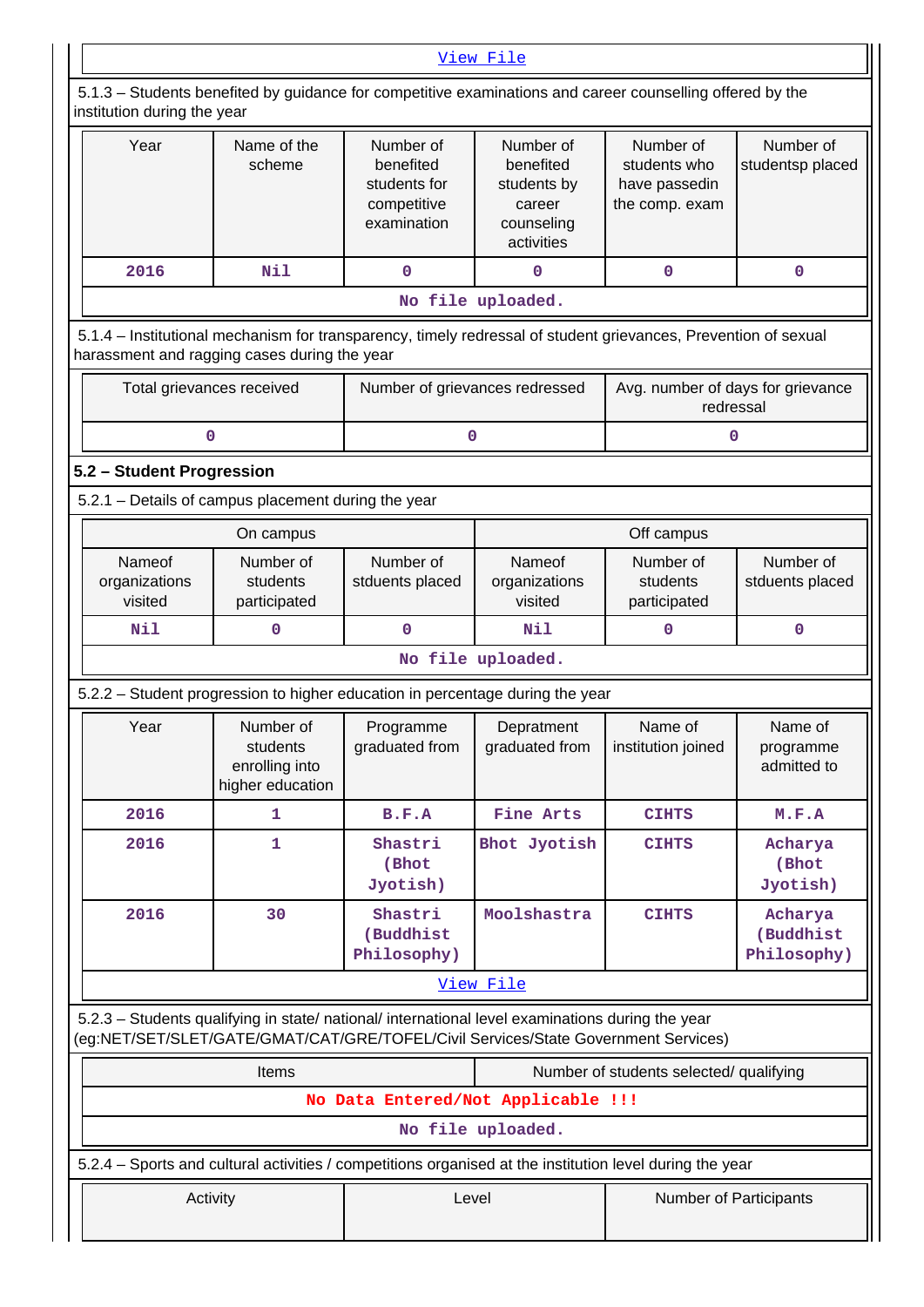| View File                                                                                                                                                                              |                                                                       |                                     |                                                                             |                                                              |                                     |  |  |  |  |  |  |
|----------------------------------------------------------------------------------------------------------------------------------------------------------------------------------------|-----------------------------------------------------------------------|-------------------------------------|-----------------------------------------------------------------------------|--------------------------------------------------------------|-------------------------------------|--|--|--|--|--|--|
| 5.1.3 - Students benefited by guidance for competitive examinations and career counselling offered by the<br>institution during the year                                               |                                                                       |                                     |                                                                             |                                                              |                                     |  |  |  |  |  |  |
| Year                                                                                                                                                                                   | Name of the<br>scheme                                                 |                                     | Number of<br>benefited<br>students by<br>career<br>counseling<br>activities | Number of<br>students who<br>have passedin<br>the comp. exam | Number of<br>studentsp placed       |  |  |  |  |  |  |
| 2016                                                                                                                                                                                   | Nil                                                                   | $\mathbf 0$                         | 0                                                                           | $\mathbf 0$                                                  | 0                                   |  |  |  |  |  |  |
| No file uploaded.                                                                                                                                                                      |                                                                       |                                     |                                                                             |                                                              |                                     |  |  |  |  |  |  |
| 5.1.4 - Institutional mechanism for transparency, timely redressal of student grievances, Prevention of sexual<br>harassment and ragging cases during the year                         |                                                                       |                                     |                                                                             |                                                              |                                     |  |  |  |  |  |  |
| Total grievances received                                                                                                                                                              |                                                                       | Number of grievances redressed      |                                                                             | Avg. number of days for grievance<br>redressal               |                                     |  |  |  |  |  |  |
| 0                                                                                                                                                                                      |                                                                       | 0                                   |                                                                             | 0                                                            |                                     |  |  |  |  |  |  |
| 5.2 - Student Progression                                                                                                                                                              |                                                                       |                                     |                                                                             |                                                              |                                     |  |  |  |  |  |  |
| 5.2.1 - Details of campus placement during the year                                                                                                                                    |                                                                       |                                     |                                                                             |                                                              |                                     |  |  |  |  |  |  |
|                                                                                                                                                                                        | On campus                                                             |                                     |                                                                             | Off campus                                                   |                                     |  |  |  |  |  |  |
| Nameof<br>organizations<br>visited                                                                                                                                                     | Number of<br>Number of<br>students<br>stduents placed<br>participated |                                     | Nameof<br>organizations<br>visited                                          | Number of<br>students<br>participated                        | Number of<br>stduents placed        |  |  |  |  |  |  |
| Nil                                                                                                                                                                                    | 0                                                                     | $\mathbf 0$                         | Nil                                                                         | 0                                                            | 0                                   |  |  |  |  |  |  |
|                                                                                                                                                                                        |                                                                       |                                     | No file uploaded.                                                           |                                                              |                                     |  |  |  |  |  |  |
| 5.2.2 - Student progression to higher education in percentage during the year                                                                                                          |                                                                       |                                     |                                                                             |                                                              |                                     |  |  |  |  |  |  |
| Year                                                                                                                                                                                   | Number of<br>students<br>enrolling into<br>higher education           | Programme<br>graduated from         | Depratment<br>graduated from                                                | Name of<br>institution joined                                | Name of<br>programme<br>admitted to |  |  |  |  |  |  |
| 2016                                                                                                                                                                                   | 1                                                                     | B.F.A                               | Fine Arts                                                                   | <b>CIHTS</b>                                                 | M.F.A                               |  |  |  |  |  |  |
| 2016                                                                                                                                                                                   | 1                                                                     | Shastri<br>(Bhot<br>Jyotish)        | Bhot Jyotish                                                                | <b>CIHTS</b>                                                 | Acharya<br>(Bhot<br>Jyotish)        |  |  |  |  |  |  |
| 2016                                                                                                                                                                                   | 30                                                                    | Shastri<br>(Buddhist<br>Philosophy) | Moolshastra                                                                 | <b>CIHTS</b>                                                 | Acharya<br>(Buddhist<br>Philosophy) |  |  |  |  |  |  |
|                                                                                                                                                                                        |                                                                       |                                     | View File                                                                   |                                                              |                                     |  |  |  |  |  |  |
| 5.2.3 - Students qualifying in state/ national/ international level examinations during the year<br>(eg:NET/SET/SLET/GATE/GMAT/CAT/GRE/TOFEL/Civil Services/State Government Services) |                                                                       |                                     |                                                                             |                                                              |                                     |  |  |  |  |  |  |
|                                                                                                                                                                                        | Items                                                                 |                                     |                                                                             | Number of students selected/ qualifying                      |                                     |  |  |  |  |  |  |
|                                                                                                                                                                                        |                                                                       | No Data Entered/Not Applicable !!!  |                                                                             |                                                              |                                     |  |  |  |  |  |  |
|                                                                                                                                                                                        |                                                                       |                                     | No file uploaded.                                                           |                                                              |                                     |  |  |  |  |  |  |
| 5.2.4 - Sports and cultural activities / competitions organised at the institution level during the year                                                                               |                                                                       |                                     |                                                                             |                                                              |                                     |  |  |  |  |  |  |
| Activity                                                                                                                                                                               |                                                                       | Level                               |                                                                             | <b>Number of Participants</b>                                |                                     |  |  |  |  |  |  |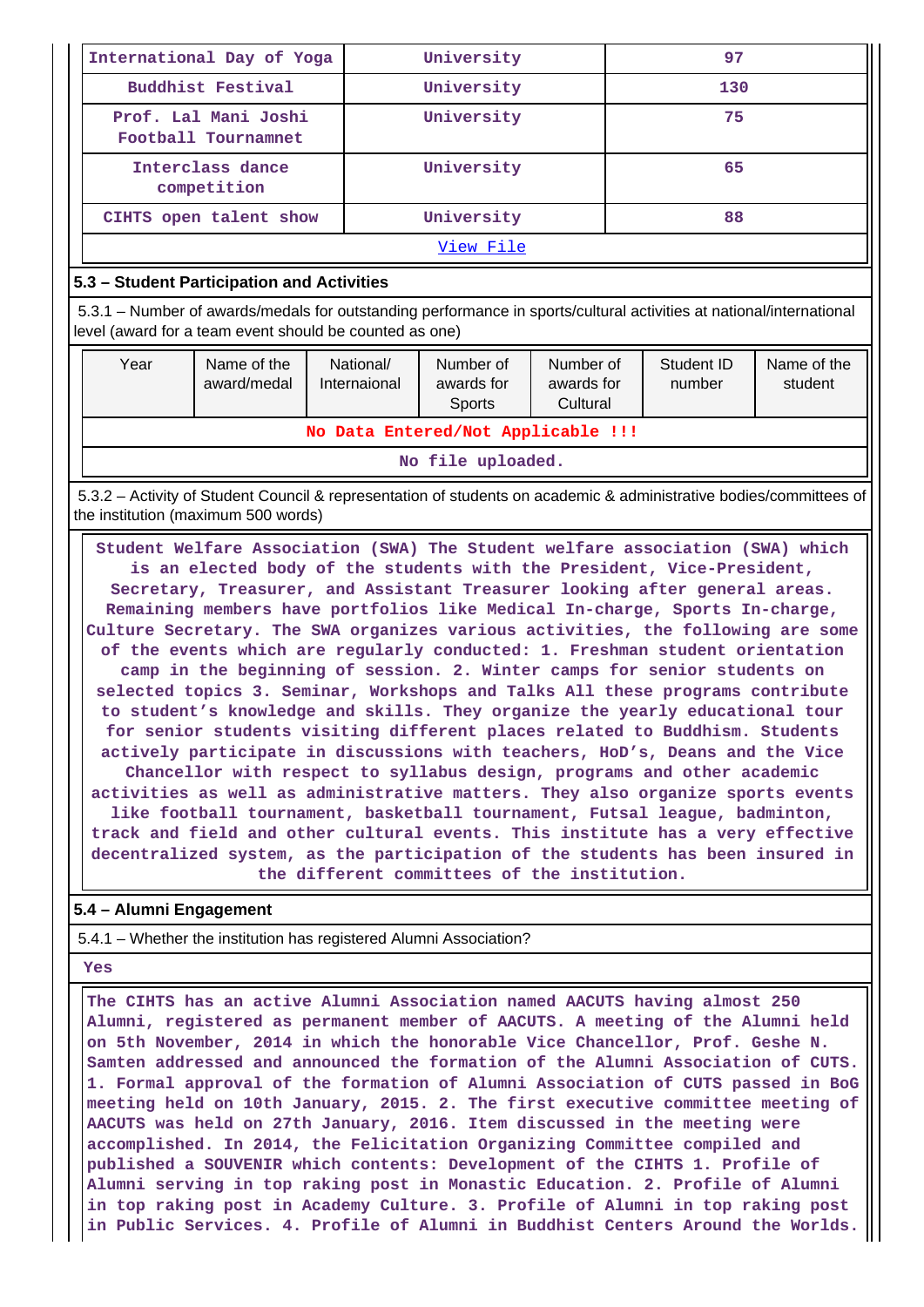|                                                                                                                                                           | International Day of Yoga                                                                                                                                                      |                           | University                        |                                     | 97  |                      |                        |  |  |
|-----------------------------------------------------------------------------------------------------------------------------------------------------------|--------------------------------------------------------------------------------------------------------------------------------------------------------------------------------|---------------------------|-----------------------------------|-------------------------------------|-----|----------------------|------------------------|--|--|
|                                                                                                                                                           | <b>Buddhist Festival</b>                                                                                                                                                       |                           | University                        |                                     | 130 |                      |                        |  |  |
|                                                                                                                                                           | Prof. Lal Mani Joshi<br>Football Tournamnet                                                                                                                                    |                           | University                        |                                     |     | 75                   |                        |  |  |
|                                                                                                                                                           | Interclass dance<br>competition                                                                                                                                                |                           | University                        |                                     | 65  |                      |                        |  |  |
| University<br>CIHTS open talent show                                                                                                                      |                                                                                                                                                                                |                           |                                   |                                     |     | 88                   |                        |  |  |
| View File                                                                                                                                                 |                                                                                                                                                                                |                           |                                   |                                     |     |                      |                        |  |  |
|                                                                                                                                                           | 5.3 – Student Participation and Activities                                                                                                                                     |                           |                                   |                                     |     |                      |                        |  |  |
|                                                                                                                                                           | 5.3.1 – Number of awards/medals for outstanding performance in sports/cultural activities at national/international<br>level (award for a team event should be counted as one) |                           |                                   |                                     |     |                      |                        |  |  |
| Year                                                                                                                                                      | Name of the<br>award/medal                                                                                                                                                     | National/<br>Internaional | Number of<br>awards for<br>Sports | Number of<br>awards for<br>Cultural |     | Student ID<br>number | Name of the<br>student |  |  |
| No Data Entered/Not Applicable !!!                                                                                                                        |                                                                                                                                                                                |                           |                                   |                                     |     |                      |                        |  |  |
|                                                                                                                                                           |                                                                                                                                                                                |                           | No file uploaded.                 |                                     |     |                      |                        |  |  |
| 5.3.2 – Activity of Student Council & representation of students on academic & administrative bodies/committees of<br>the institution (maximum 500 words) |                                                                                                                                                                                |                           |                                   |                                     |     |                      |                        |  |  |

 **Student Welfare Association (SWA) The Student welfare association (SWA) which is an elected body of the students with the President, Vice-President, Secretary, Treasurer, and Assistant Treasurer looking after general areas. Remaining members have portfolios like Medical In-charge, Sports In-charge, Culture Secretary. The SWA organizes various activities, the following are some of the events which are regularly conducted: 1. Freshman student orientation camp in the beginning of session. 2. Winter camps for senior students on selected topics 3. Seminar, Workshops and Talks All these programs contribute to student's knowledge and skills. They organize the yearly educational tour for senior students visiting different places related to Buddhism. Students actively participate in discussions with teachers, HoD's, Deans and the Vice Chancellor with respect to syllabus design, programs and other academic activities as well as administrative matters. They also organize sports events like football tournament, basketball tournament, Futsal league, badminton, track and field and other cultural events. This institute has a very effective decentralized system, as the participation of the students has been insured in the different committees of the institution.**

## **5.4 – Alumni Engagement**

5.4.1 – Whether the institution has registered Alumni Association?

#### **Yes**

 **The CIHTS has an active Alumni Association named AACUTS having almost 250 Alumni, registered as permanent member of AACUTS. A meeting of the Alumni held on 5th November, 2014 in which the honorable Vice Chancellor, Prof. Geshe N. Samten addressed and announced the formation of the Alumni Association of CUTS. 1. Formal approval of the formation of Alumni Association of CUTS passed in BoG meeting held on 10th January, 2015. 2. The first executive committee meeting of AACUTS was held on 27th January, 2016. Item discussed in the meeting were accomplished. In 2014, the Felicitation Organizing Committee compiled and published a SOUVENIR which contents: Development of the CIHTS 1. Profile of Alumni serving in top raking post in Monastic Education. 2. Profile of Alumni in top raking post in Academy Culture. 3. Profile of Alumni in top raking post in Public Services. 4. Profile of Alumni in Buddhist Centers Around the Worlds.**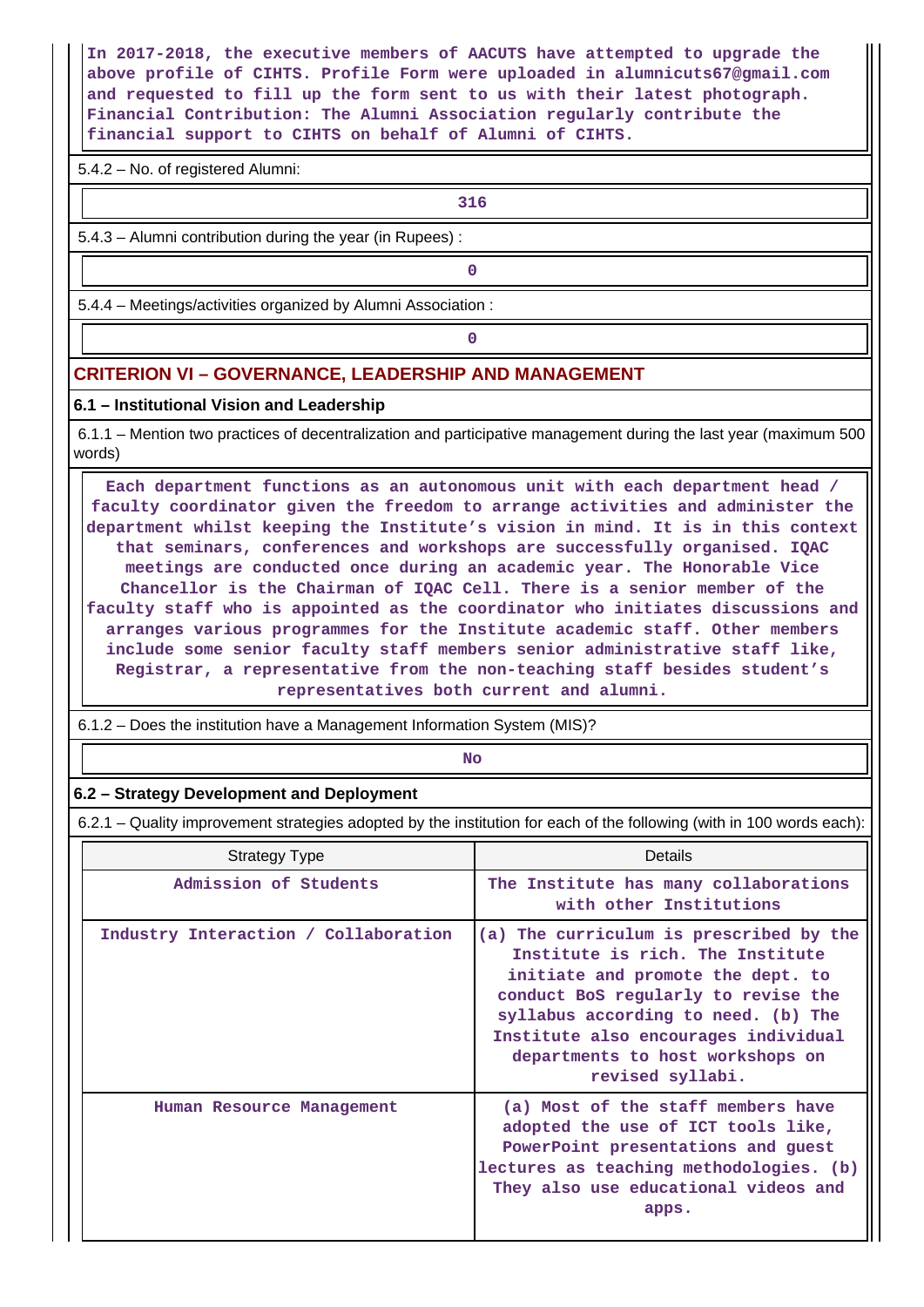**In 2017-2018, the executive members of AACUTS have attempted to upgrade the above profile of CIHTS. Profile Form were uploaded in alumnicuts67@gmail.com and requested to fill up the form sent to us with their latest photograph. Financial Contribution: The Alumni Association regularly contribute the financial support to CIHTS on behalf of Alumni of CIHTS.**

5.4.2 – No. of registered Alumni:

**1 316** 

5.4.3 – Alumni contribution during the year (in Rupees) :

**0**

5.4.4 – Meetings/activities organized by Alumni Association :

**0**

### **CRITERION VI – GOVERNANCE, LEADERSHIP AND MANAGEMENT**

#### **6.1 – Institutional Vision and Leadership**

 6.1.1 – Mention two practices of decentralization and participative management during the last year (maximum 500 words)

 **Each department functions as an autonomous unit with each department head / faculty coordinator given the freedom to arrange activities and administer the department whilst keeping the Institute's vision in mind. It is in this context that seminars, conferences and workshops are successfully organised. IQAC meetings are conducted once during an academic year. The Honorable Vice Chancellor is the Chairman of IQAC Cell. There is a senior member of the faculty staff who is appointed as the coordinator who initiates discussions and arranges various programmes for the Institute academic staff. Other members include some senior faculty staff members senior administrative staff like, Registrar, a representative from the non-teaching staff besides student's representatives both current and alumni.**

6.1.2 – Does the institution have a Management Information System (MIS)?

**No. 2. In the case of the case of the case of the case of the case of the case of the case of the case of the case of the case of the case of the case of the case of the case of the case of the case of the case of the cas** 

#### **6.2 – Strategy Development and Deployment**

6.2.1 – Quality improvement strategies adopted by the institution for each of the following (with in 100 words each):

| <b>Strategy Type</b>                 | <b>Details</b>                                                                                                                                                                                                                                                                                 |  |  |  |  |
|--------------------------------------|------------------------------------------------------------------------------------------------------------------------------------------------------------------------------------------------------------------------------------------------------------------------------------------------|--|--|--|--|
| Admission of Students                | The Institute has many collaborations<br>with other Institutions                                                                                                                                                                                                                               |  |  |  |  |
| Industry Interaction / Collaboration | (a) The curriculum is prescribed by the<br>Institute is rich. The Institute<br>initiate and promote the dept. to<br>conduct BoS regularly to revise the<br>syllabus according to need. (b) The<br>Institute also encourages individual<br>departments to host workshops on<br>revised syllabi. |  |  |  |  |
| Human Resource Management            | (a) Most of the staff members have<br>adopted the use of ICT tools like,<br>PowerPoint presentations and guest<br>lectures as teaching methodologies. (b)<br>They also use educational videos and<br>apps.                                                                                     |  |  |  |  |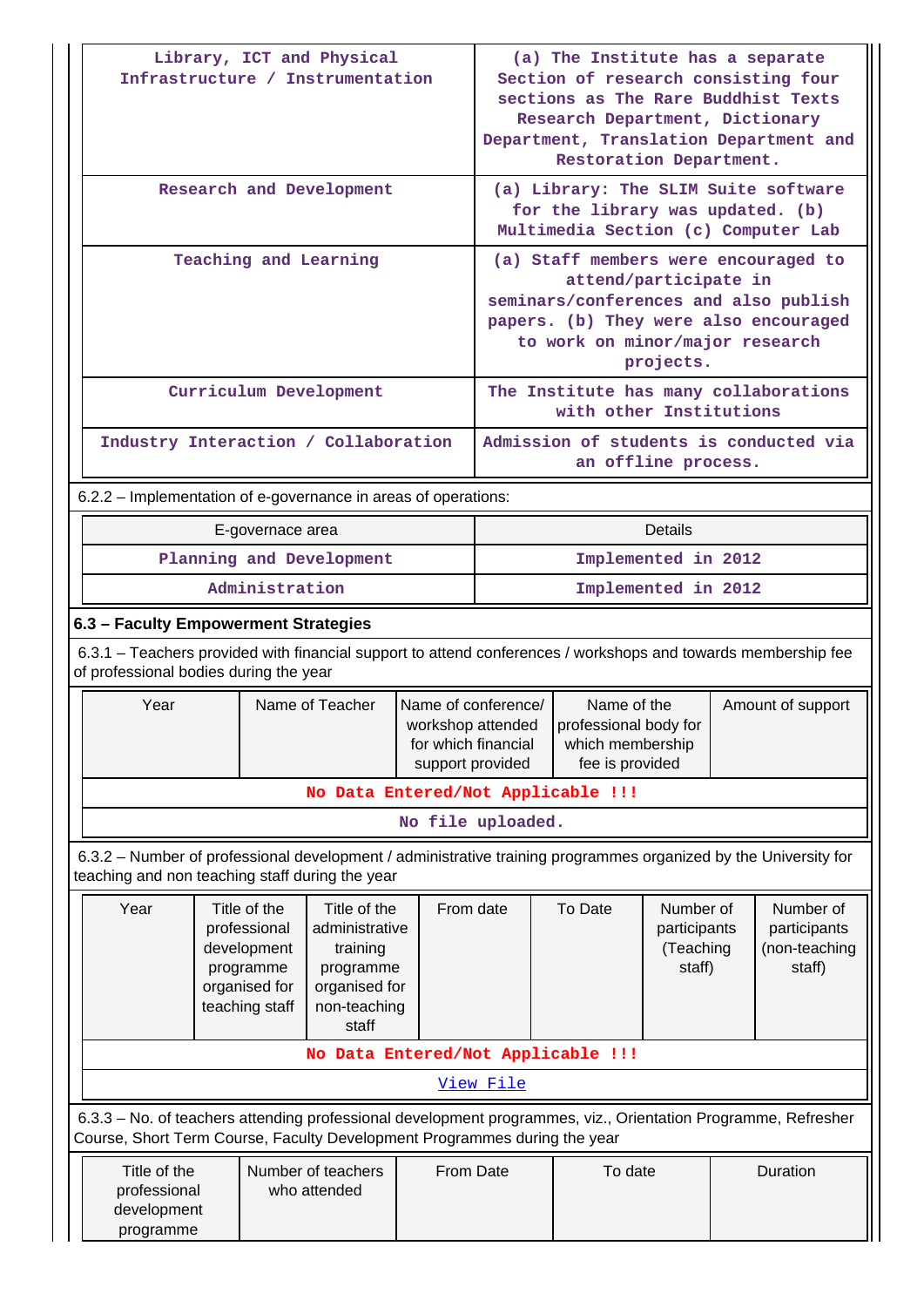|                                                                                                       |                                                                                                                                                                                          | Library, ICT and Physical<br>Infrastructure / Instrumentation |                                                                                                   |                                                                                     | (a) The Institute has a separate<br>Section of research consisting four<br>sections as The Rare Buddhist Texts<br>Research Department, Dictionary<br>Department, Translation Department and<br>Restoration Department. |                                                                                |                                                  |                                       |                                                      |
|-------------------------------------------------------------------------------------------------------|------------------------------------------------------------------------------------------------------------------------------------------------------------------------------------------|---------------------------------------------------------------|---------------------------------------------------------------------------------------------------|-------------------------------------------------------------------------------------|------------------------------------------------------------------------------------------------------------------------------------------------------------------------------------------------------------------------|--------------------------------------------------------------------------------|--------------------------------------------------|---------------------------------------|------------------------------------------------------|
|                                                                                                       |                                                                                                                                                                                          | Research and Development                                      |                                                                                                   |                                                                                     | (a) Library: The SLIM Suite software<br>for the library was updated. (b)<br>Multimedia Section (c) Computer Lab                                                                                                        |                                                                                |                                                  |                                       |                                                      |
|                                                                                                       | Teaching and Learning                                                                                                                                                                    |                                                               | (a) Staff members were encouraged to<br>attend/participate in<br>to work on minor/major research  | projects.                                                                           |                                                                                                                                                                                                                        | seminars/conferences and also publish<br>papers. (b) They were also encouraged |                                                  |                                       |                                                      |
|                                                                                                       |                                                                                                                                                                                          | Curriculum Development                                        |                                                                                                   |                                                                                     | with other Institutions                                                                                                                                                                                                |                                                                                |                                                  | The Institute has many collaborations |                                                      |
| Industry Interaction / Collaboration<br>Admission of students is conducted via<br>an offline process. |                                                                                                                                                                                          |                                                               |                                                                                                   |                                                                                     |                                                                                                                                                                                                                        |                                                                                |                                                  |                                       |                                                      |
|                                                                                                       | 6.2.2 – Implementation of e-governance in areas of operations:                                                                                                                           |                                                               |                                                                                                   |                                                                                     |                                                                                                                                                                                                                        |                                                                                |                                                  |                                       |                                                      |
|                                                                                                       |                                                                                                                                                                                          | E-governace area                                              |                                                                                                   |                                                                                     |                                                                                                                                                                                                                        |                                                                                | <b>Details</b>                                   |                                       |                                                      |
|                                                                                                       |                                                                                                                                                                                          | Planning and Development                                      |                                                                                                   |                                                                                     |                                                                                                                                                                                                                        |                                                                                | Implemented in 2012                              |                                       |                                                      |
|                                                                                                       | Administration                                                                                                                                                                           |                                                               | Implemented in 2012                                                                               |                                                                                     |                                                                                                                                                                                                                        |                                                                                |                                                  |                                       |                                                      |
|                                                                                                       | 6.3 - Faculty Empowerment Strategies                                                                                                                                                     |                                                               |                                                                                                   |                                                                                     |                                                                                                                                                                                                                        |                                                                                |                                                  |                                       |                                                      |
|                                                                                                       | 6.3.1 – Teachers provided with financial support to attend conferences / workshops and towards membership fee<br>of professional bodies during the year                                  |                                                               |                                                                                                   |                                                                                     |                                                                                                                                                                                                                        |                                                                                |                                                  |                                       |                                                      |
|                                                                                                       | Year                                                                                                                                                                                     |                                                               | Name of Teacher                                                                                   | Name of conference/<br>workshop attended<br>for which financial<br>support provided |                                                                                                                                                                                                                        | Name of the<br>professional body for<br>which membership<br>fee is provided    |                                                  |                                       | Amount of support                                    |
|                                                                                                       |                                                                                                                                                                                          |                                                               |                                                                                                   |                                                                                     |                                                                                                                                                                                                                        | No Data Entered/Not Applicable !!!                                             |                                                  |                                       |                                                      |
|                                                                                                       |                                                                                                                                                                                          |                                                               |                                                                                                   | No file uploaded.                                                                   |                                                                                                                                                                                                                        |                                                                                |                                                  |                                       |                                                      |
|                                                                                                       | 6.3.2 - Number of professional development / administrative training programmes organized by the University for<br>teaching and non teaching staff during the year                       |                                                               |                                                                                                   |                                                                                     |                                                                                                                                                                                                                        |                                                                                |                                                  |                                       |                                                      |
|                                                                                                       | Year<br>Title of the<br>professional<br>development<br>programme<br>organised for<br>teaching staff                                                                                      |                                                               | Title of the<br>administrative<br>training<br>programme<br>organised for<br>non-teaching<br>staff | From date                                                                           |                                                                                                                                                                                                                        | To Date                                                                        | Number of<br>participants<br>(Teaching<br>staff) |                                       | Number of<br>participants<br>(non-teaching<br>staff) |
|                                                                                                       |                                                                                                                                                                                          |                                                               |                                                                                                   |                                                                                     |                                                                                                                                                                                                                        | No Data Entered/Not Applicable !!!                                             |                                                  |                                       |                                                      |
|                                                                                                       |                                                                                                                                                                                          |                                                               |                                                                                                   |                                                                                     | <u>View File</u>                                                                                                                                                                                                       |                                                                                |                                                  |                                       |                                                      |
|                                                                                                       | 6.3.3 - No. of teachers attending professional development programmes, viz., Orientation Programme, Refresher                                                                            |                                                               |                                                                                                   |                                                                                     |                                                                                                                                                                                                                        |                                                                                |                                                  |                                       |                                                      |
|                                                                                                       | Course, Short Term Course, Faculty Development Programmes during the year<br>Title of the<br>Number of teachers<br>From Date<br>professional<br>who attended<br>development<br>programme |                                                               |                                                                                                   |                                                                                     |                                                                                                                                                                                                                        | To date                                                                        |                                                  |                                       | Duration                                             |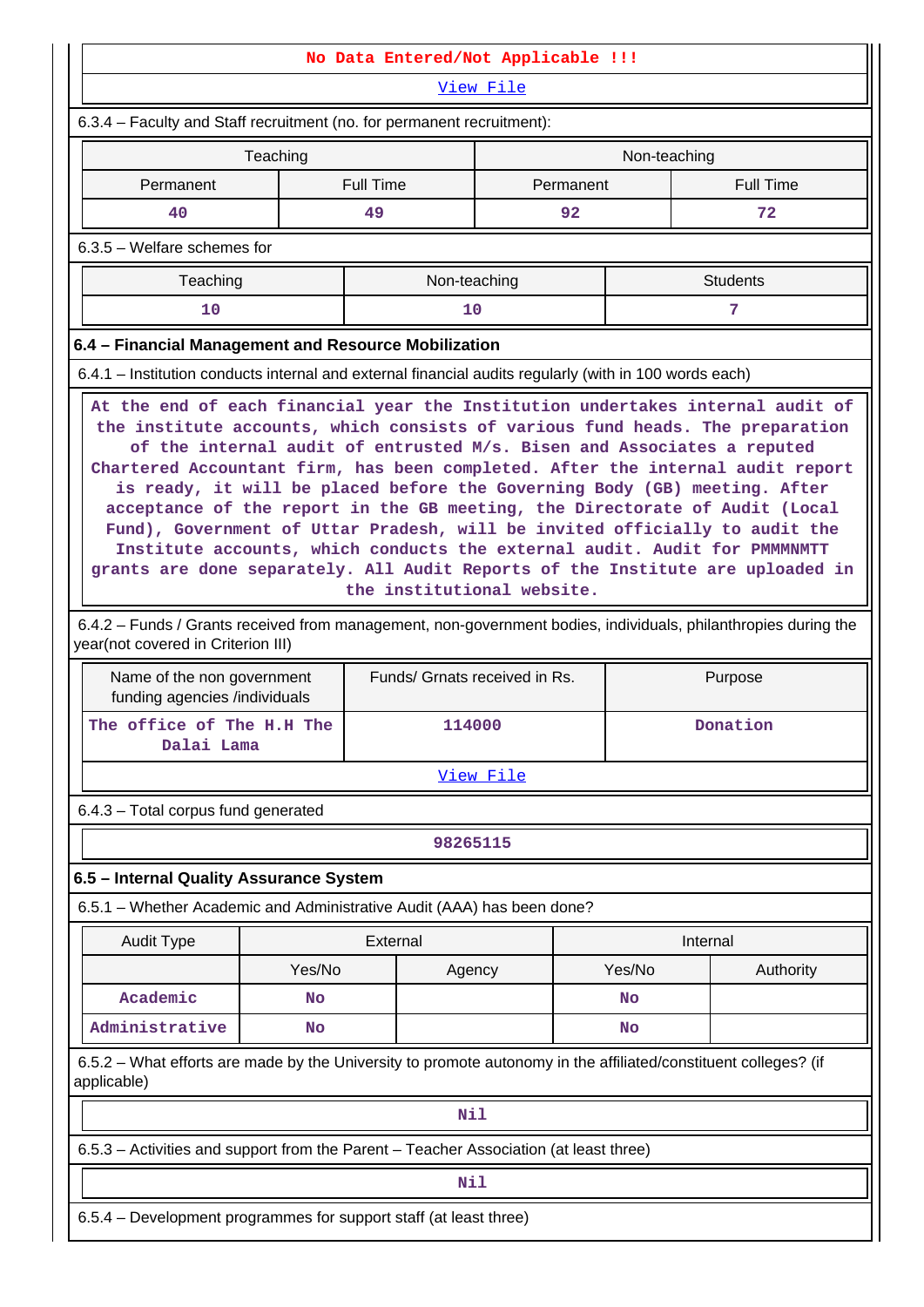|                                                                                                                                                                                                                                                                                                                                                                                                                                                                                                                                                                                                                                                                                   |                                                                                                                 | No Data Entered/Not Applicable !!! |              |           |              |                  |  |  |  |
|-----------------------------------------------------------------------------------------------------------------------------------------------------------------------------------------------------------------------------------------------------------------------------------------------------------------------------------------------------------------------------------------------------------------------------------------------------------------------------------------------------------------------------------------------------------------------------------------------------------------------------------------------------------------------------------|-----------------------------------------------------------------------------------------------------------------|------------------------------------|--------------|-----------|--------------|------------------|--|--|--|
|                                                                                                                                                                                                                                                                                                                                                                                                                                                                                                                                                                                                                                                                                   |                                                                                                                 |                                    | View File    |           |              |                  |  |  |  |
| 6.3.4 - Faculty and Staff recruitment (no. for permanent recruitment):                                                                                                                                                                                                                                                                                                                                                                                                                                                                                                                                                                                                            |                                                                                                                 |                                    |              |           |              |                  |  |  |  |
|                                                                                                                                                                                                                                                                                                                                                                                                                                                                                                                                                                                                                                                                                   | Teaching                                                                                                        |                                    |              |           | Non-teaching |                  |  |  |  |
| Permanent                                                                                                                                                                                                                                                                                                                                                                                                                                                                                                                                                                                                                                                                         |                                                                                                                 | <b>Full Time</b>                   |              | Permanent |              | <b>Full Time</b> |  |  |  |
| 40                                                                                                                                                                                                                                                                                                                                                                                                                                                                                                                                                                                                                                                                                |                                                                                                                 | 49                                 |              | 92        |              | 72               |  |  |  |
| $6.3.5$ – Welfare schemes for                                                                                                                                                                                                                                                                                                                                                                                                                                                                                                                                                                                                                                                     |                                                                                                                 |                                    |              |           |              |                  |  |  |  |
| Teaching                                                                                                                                                                                                                                                                                                                                                                                                                                                                                                                                                                                                                                                                          |                                                                                                                 |                                    | Non-teaching |           |              | <b>Students</b>  |  |  |  |
| 10                                                                                                                                                                                                                                                                                                                                                                                                                                                                                                                                                                                                                                                                                |                                                                                                                 |                                    | 10           |           |              | 7                |  |  |  |
| 6.4 - Financial Management and Resource Mobilization                                                                                                                                                                                                                                                                                                                                                                                                                                                                                                                                                                                                                              |                                                                                                                 |                                    |              |           |              |                  |  |  |  |
| 6.4.1 – Institution conducts internal and external financial audits regularly (with in 100 words each)                                                                                                                                                                                                                                                                                                                                                                                                                                                                                                                                                                            |                                                                                                                 |                                    |              |           |              |                  |  |  |  |
| the institute accounts, which consists of various fund heads. The preparation<br>of the internal audit of entrusted M/s. Bisen and Associates a reputed<br>Chartered Accountant firm, has been completed. After the internal audit report<br>is ready, it will be placed before the Governing Body (GB) meeting. After<br>acceptance of the report in the GB meeting, the Directorate of Audit (Local<br>Fund), Government of Uttar Pradesh, will be invited officially to audit the<br>Institute accounts, which conducts the external audit. Audit for PMMMMMTT<br>grants are done separately. All Audit Reports of the Institute are uploaded in<br>the institutional website. |                                                                                                                 |                                    |              |           |              |                  |  |  |  |
| 6.4.2 - Funds / Grants received from management, non-government bodies, individuals, philanthropies during the<br>year(not covered in Criterion III)                                                                                                                                                                                                                                                                                                                                                                                                                                                                                                                              |                                                                                                                 |                                    |              |           |              |                  |  |  |  |
| Name of the non government<br>funding agencies /individuals                                                                                                                                                                                                                                                                                                                                                                                                                                                                                                                                                                                                                       |                                                                                                                 | Funds/ Grnats received in Rs.      |              |           |              | Purpose          |  |  |  |
| The office of The H.H The<br>Dalai Lama                                                                                                                                                                                                                                                                                                                                                                                                                                                                                                                                                                                                                                           |                                                                                                                 |                                    | 114000       |           |              | Donation         |  |  |  |
|                                                                                                                                                                                                                                                                                                                                                                                                                                                                                                                                                                                                                                                                                   |                                                                                                                 |                                    | View File    |           |              |                  |  |  |  |
| 6.4.3 - Total corpus fund generated                                                                                                                                                                                                                                                                                                                                                                                                                                                                                                                                                                                                                                               |                                                                                                                 |                                    |              |           |              |                  |  |  |  |
|                                                                                                                                                                                                                                                                                                                                                                                                                                                                                                                                                                                                                                                                                   |                                                                                                                 |                                    | 98265115     |           |              |                  |  |  |  |
| 6.5 - Internal Quality Assurance System                                                                                                                                                                                                                                                                                                                                                                                                                                                                                                                                                                                                                                           |                                                                                                                 |                                    |              |           |              |                  |  |  |  |
| 6.5.1 - Whether Academic and Administrative Audit (AAA) has been done?                                                                                                                                                                                                                                                                                                                                                                                                                                                                                                                                                                                                            |                                                                                                                 |                                    |              |           |              |                  |  |  |  |
| <b>Audit Type</b>                                                                                                                                                                                                                                                                                                                                                                                                                                                                                                                                                                                                                                                                 |                                                                                                                 | External                           |              |           | Internal     |                  |  |  |  |
|                                                                                                                                                                                                                                                                                                                                                                                                                                                                                                                                                                                                                                                                                   | Yes/No                                                                                                          |                                    | Agency       |           | Yes/No       | Authority        |  |  |  |
| Academic                                                                                                                                                                                                                                                                                                                                                                                                                                                                                                                                                                                                                                                                          | <b>No</b>                                                                                                       |                                    |              |           | No           |                  |  |  |  |
| Administrative                                                                                                                                                                                                                                                                                                                                                                                                                                                                                                                                                                                                                                                                    | No                                                                                                              |                                    |              |           | <b>No</b>    |                  |  |  |  |
| applicable)                                                                                                                                                                                                                                                                                                                                                                                                                                                                                                                                                                                                                                                                       | 6.5.2 – What efforts are made by the University to promote autonomy in the affiliated/constituent colleges? (if |                                    |              |           |              |                  |  |  |  |
|                                                                                                                                                                                                                                                                                                                                                                                                                                                                                                                                                                                                                                                                                   | <b>Nil</b>                                                                                                      |                                    |              |           |              |                  |  |  |  |
| 6.5.3 - Activities and support from the Parent - Teacher Association (at least three)                                                                                                                                                                                                                                                                                                                                                                                                                                                                                                                                                                                             |                                                                                                                 |                                    |              |           |              |                  |  |  |  |
|                                                                                                                                                                                                                                                                                                                                                                                                                                                                                                                                                                                                                                                                                   |                                                                                                                 | Nil                                |              |           |              |                  |  |  |  |
| 6.5.4 - Development programmes for support staff (at least three)                                                                                                                                                                                                                                                                                                                                                                                                                                                                                                                                                                                                                 |                                                                                                                 |                                    |              |           |              |                  |  |  |  |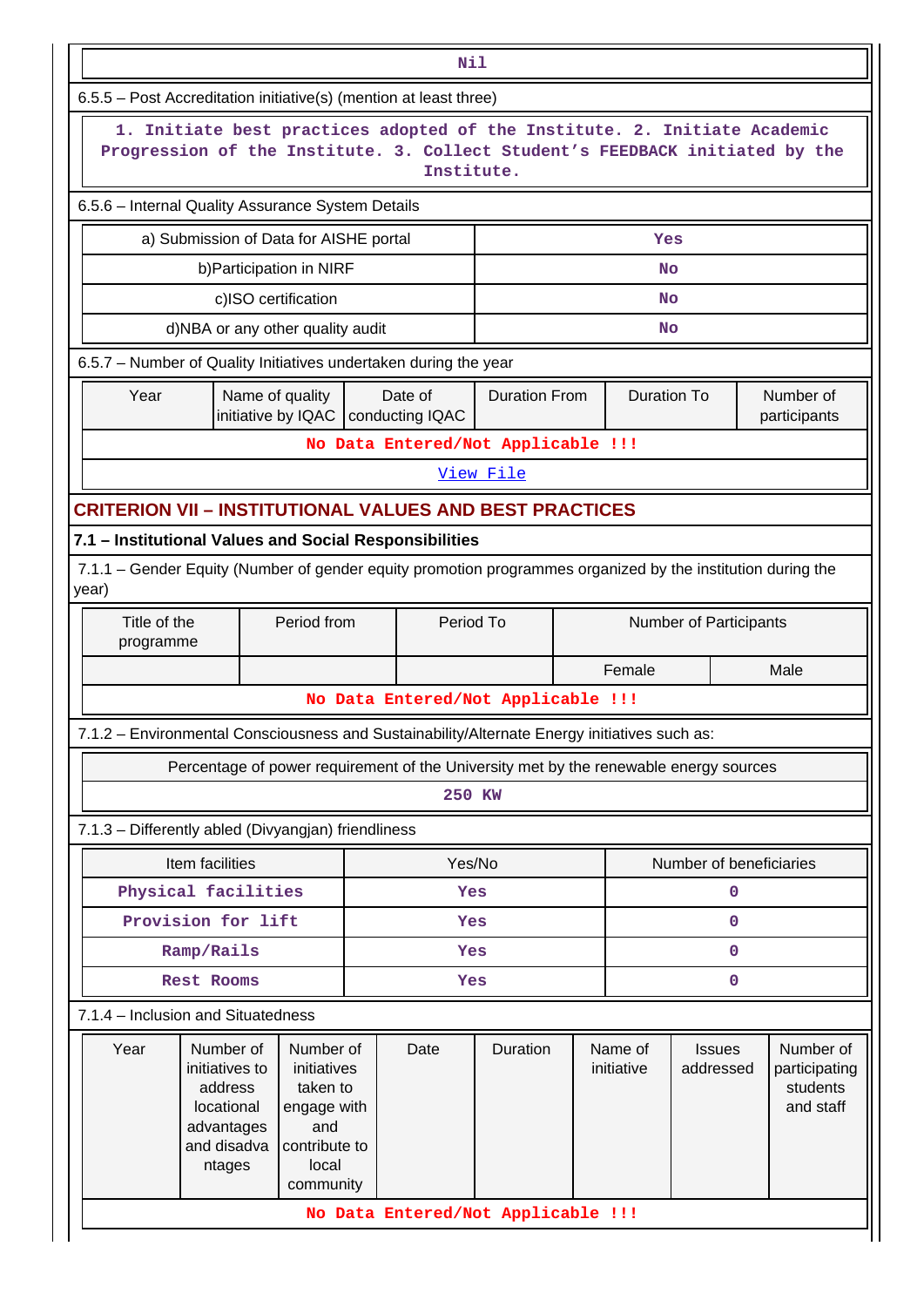|                                                                                                                                                                         |                                                                                              |                                                                                                   |                                                 | Nil       |                                    |                        |                                                     |                         |                                                     |                           |  |  |
|-------------------------------------------------------------------------------------------------------------------------------------------------------------------------|----------------------------------------------------------------------------------------------|---------------------------------------------------------------------------------------------------|-------------------------------------------------|-----------|------------------------------------|------------------------|-----------------------------------------------------|-------------------------|-----------------------------------------------------|---------------------------|--|--|
|                                                                                                                                                                         | 6.5.5 - Post Accreditation initiative(s) (mention at least three)                            |                                                                                                   |                                                 |           |                                    |                        |                                                     |                         |                                                     |                           |  |  |
| 1. Initiate best practices adopted of the Institute. 2. Initiate Academic<br>Progression of the Institute. 3. Collect Student's FEEDBACK initiated by the<br>Institute. |                                                                                              |                                                                                                   |                                                 |           |                                    |                        |                                                     |                         |                                                     |                           |  |  |
|                                                                                                                                                                         | 6.5.6 - Internal Quality Assurance System Details                                            |                                                                                                   |                                                 |           |                                    |                        |                                                     |                         |                                                     |                           |  |  |
| a) Submission of Data for AISHE portal<br>Yes                                                                                                                           |                                                                                              |                                                                                                   |                                                 |           |                                    |                        |                                                     |                         |                                                     |                           |  |  |
| b) Participation in NIRF                                                                                                                                                |                                                                                              |                                                                                                   |                                                 |           | No                                 |                        |                                                     |                         |                                                     |                           |  |  |
| c)ISO certification                                                                                                                                                     |                                                                                              |                                                                                                   |                                                 |           | <b>No</b>                          |                        |                                                     |                         |                                                     |                           |  |  |
|                                                                                                                                                                         | d)NBA or any other quality audit                                                             |                                                                                                   |                                                 |           |                                    | No                     |                                                     |                         |                                                     |                           |  |  |
| 6.5.7 - Number of Quality Initiatives undertaken during the year                                                                                                        |                                                                                              |                                                                                                   |                                                 |           |                                    |                        |                                                     |                         |                                                     |                           |  |  |
| Year                                                                                                                                                                    | Name of quality                                                                              |                                                                                                   | Date of<br>initiative by IQAC   conducting IQAC |           | <b>Duration From</b>               |                        | <b>Duration To</b>                                  |                         |                                                     | Number of<br>participants |  |  |
|                                                                                                                                                                         |                                                                                              |                                                                                                   |                                                 |           | No Data Entered/Not Applicable !!! |                        |                                                     |                         |                                                     |                           |  |  |
| View File                                                                                                                                                               |                                                                                              |                                                                                                   |                                                 |           |                                    |                        |                                                     |                         |                                                     |                           |  |  |
| <b>CRITERION VII - INSTITUTIONAL VALUES AND BEST PRACTICES</b>                                                                                                          |                                                                                              |                                                                                                   |                                                 |           |                                    |                        |                                                     |                         |                                                     |                           |  |  |
| 7.1 - Institutional Values and Social Responsibilities                                                                                                                  |                                                                                              |                                                                                                   |                                                 |           |                                    |                        |                                                     |                         |                                                     |                           |  |  |
| 7.1.1 – Gender Equity (Number of gender equity promotion programmes organized by the institution during the<br>year)                                                    |                                                                                              |                                                                                                   |                                                 |           |                                    |                        |                                                     |                         |                                                     |                           |  |  |
| Title of the<br>Period from<br>programme                                                                                                                                |                                                                                              |                                                                                                   |                                                 | Period To |                                    | Number of Participants |                                                     |                         |                                                     |                           |  |  |
|                                                                                                                                                                         |                                                                                              |                                                                                                   |                                                 |           |                                    |                        | Female                                              |                         | Male                                                |                           |  |  |
| No Data Entered/Not Applicable !!!                                                                                                                                      |                                                                                              |                                                                                                   |                                                 |           |                                    |                        |                                                     |                         |                                                     |                           |  |  |
|                                                                                                                                                                         | 7.1.2 - Environmental Consciousness and Sustainability/Alternate Energy initiatives such as: |                                                                                                   |                                                 |           |                                    |                        |                                                     |                         |                                                     |                           |  |  |
|                                                                                                                                                                         | Percentage of power requirement of the University met by the renewable energy sources        |                                                                                                   |                                                 |           |                                    |                        |                                                     |                         |                                                     |                           |  |  |
|                                                                                                                                                                         |                                                                                              |                                                                                                   |                                                 | 250 KW    |                                    |                        |                                                     |                         |                                                     |                           |  |  |
|                                                                                                                                                                         | 7.1.3 - Differently abled (Divyangjan) friendliness                                          |                                                                                                   |                                                 |           |                                    |                        |                                                     |                         |                                                     |                           |  |  |
|                                                                                                                                                                         | Item facilities                                                                              |                                                                                                   |                                                 | Yes/No    |                                    |                        |                                                     | Number of beneficiaries |                                                     |                           |  |  |
|                                                                                                                                                                         | Physical facilities                                                                          |                                                                                                   |                                                 | Yes       |                                    |                        |                                                     | 0                       |                                                     |                           |  |  |
|                                                                                                                                                                         | Provision for lift                                                                           |                                                                                                   |                                                 | Yes       |                                    |                        |                                                     | 0                       |                                                     |                           |  |  |
|                                                                                                                                                                         | Ramp/Rails                                                                                   |                                                                                                   |                                                 | Yes       |                                    |                        | 0                                                   |                         |                                                     |                           |  |  |
| Rest Rooms<br>0<br>Yes                                                                                                                                                  |                                                                                              |                                                                                                   |                                                 |           |                                    |                        |                                                     |                         |                                                     |                           |  |  |
|                                                                                                                                                                         | 7.1.4 - Inclusion and Situatedness                                                           |                                                                                                   |                                                 |           |                                    |                        |                                                     |                         |                                                     |                           |  |  |
| Year                                                                                                                                                                    | Number of<br>initiatives to<br>address<br>locational<br>advantages<br>and disadva<br>ntages  | Number of<br>initiatives<br>taken to<br>engage with<br>and<br>contribute to<br>local<br>community |                                                 | Date      | Duration                           |                        | Name of<br><b>Issues</b><br>initiative<br>addressed |                         | Number of<br>participating<br>students<br>and staff |                           |  |  |
|                                                                                                                                                                         |                                                                                              |                                                                                                   |                                                 |           | No Data Entered/Not Applicable !!! |                        |                                                     |                         |                                                     |                           |  |  |
|                                                                                                                                                                         |                                                                                              |                                                                                                   |                                                 |           |                                    |                        |                                                     |                         |                                                     |                           |  |  |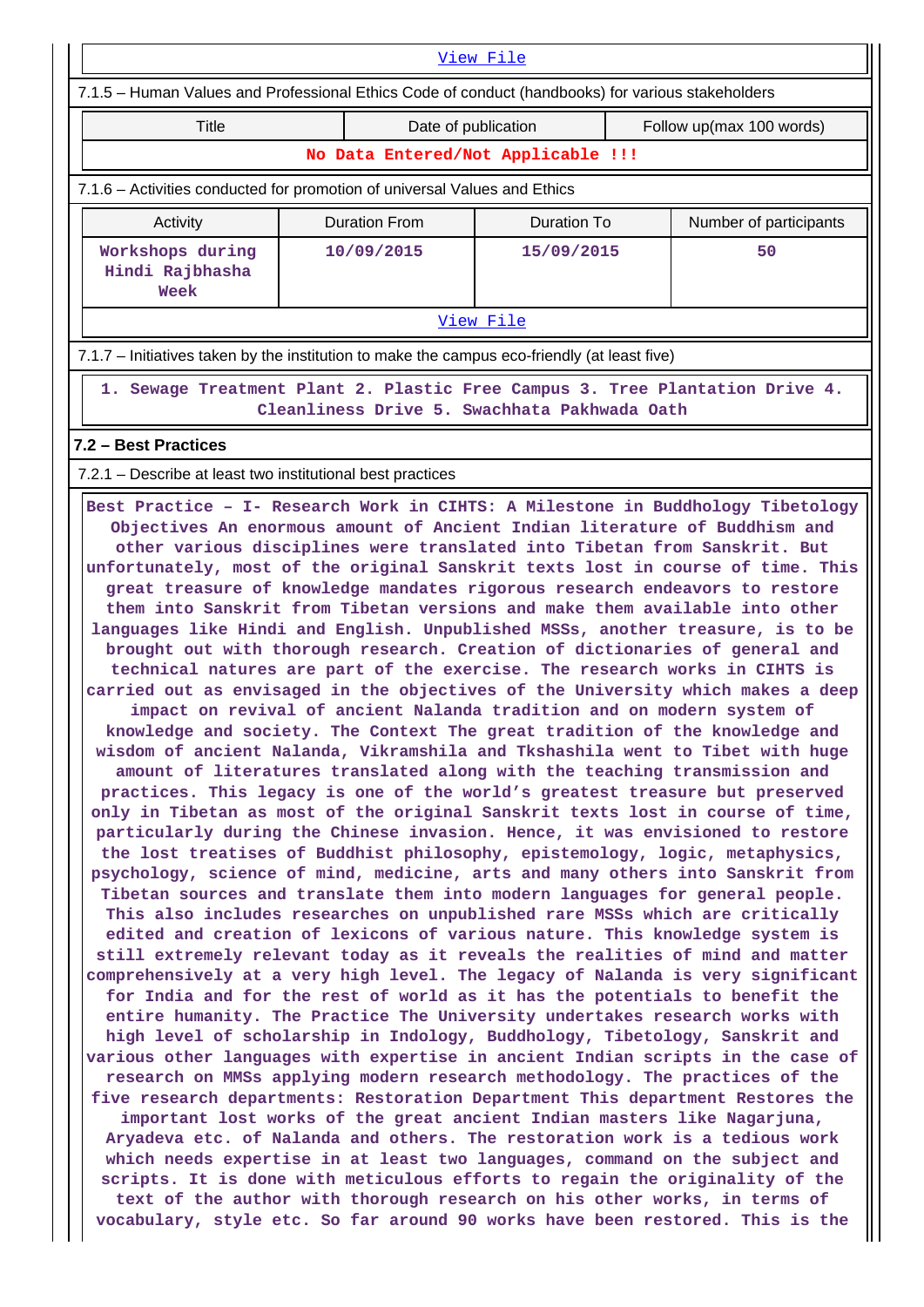| View File                                                                                                                                                                                                                                                                                                                                                                                                                                                                                                                                                                                                                                                                                                                                                                                                                                                                                                                                                                                                                                                                                                                                                                                                                                                                                                                                                                                                                                                                                                                                                                                                                                                                                                                                                                                                                                                                                                                                                                                                                                                                                                                                                                                                                                                                                                                                                                                                                                                                                                                                                                                                                                                                                                                                                                                                                                                                                                                                                         |            |                      |                     |                          |                        |  |  |  |  |  |  |
|-------------------------------------------------------------------------------------------------------------------------------------------------------------------------------------------------------------------------------------------------------------------------------------------------------------------------------------------------------------------------------------------------------------------------------------------------------------------------------------------------------------------------------------------------------------------------------------------------------------------------------------------------------------------------------------------------------------------------------------------------------------------------------------------------------------------------------------------------------------------------------------------------------------------------------------------------------------------------------------------------------------------------------------------------------------------------------------------------------------------------------------------------------------------------------------------------------------------------------------------------------------------------------------------------------------------------------------------------------------------------------------------------------------------------------------------------------------------------------------------------------------------------------------------------------------------------------------------------------------------------------------------------------------------------------------------------------------------------------------------------------------------------------------------------------------------------------------------------------------------------------------------------------------------------------------------------------------------------------------------------------------------------------------------------------------------------------------------------------------------------------------------------------------------------------------------------------------------------------------------------------------------------------------------------------------------------------------------------------------------------------------------------------------------------------------------------------------------------------------------------------------------------------------------------------------------------------------------------------------------------------------------------------------------------------------------------------------------------------------------------------------------------------------------------------------------------------------------------------------------------------------------------------------------------------------------------------------------|------------|----------------------|---------------------|--------------------------|------------------------|--|--|--|--|--|--|
| 7.1.5 - Human Values and Professional Ethics Code of conduct (handbooks) for various stakeholders                                                                                                                                                                                                                                                                                                                                                                                                                                                                                                                                                                                                                                                                                                                                                                                                                                                                                                                                                                                                                                                                                                                                                                                                                                                                                                                                                                                                                                                                                                                                                                                                                                                                                                                                                                                                                                                                                                                                                                                                                                                                                                                                                                                                                                                                                                                                                                                                                                                                                                                                                                                                                                                                                                                                                                                                                                                                 |            |                      |                     |                          |                        |  |  |  |  |  |  |
| Title                                                                                                                                                                                                                                                                                                                                                                                                                                                                                                                                                                                                                                                                                                                                                                                                                                                                                                                                                                                                                                                                                                                                                                                                                                                                                                                                                                                                                                                                                                                                                                                                                                                                                                                                                                                                                                                                                                                                                                                                                                                                                                                                                                                                                                                                                                                                                                                                                                                                                                                                                                                                                                                                                                                                                                                                                                                                                                                                                             |            |                      | Date of publication | Follow up(max 100 words) |                        |  |  |  |  |  |  |
| No Data Entered/Not Applicable !!!                                                                                                                                                                                                                                                                                                                                                                                                                                                                                                                                                                                                                                                                                                                                                                                                                                                                                                                                                                                                                                                                                                                                                                                                                                                                                                                                                                                                                                                                                                                                                                                                                                                                                                                                                                                                                                                                                                                                                                                                                                                                                                                                                                                                                                                                                                                                                                                                                                                                                                                                                                                                                                                                                                                                                                                                                                                                                                                                |            |                      |                     |                          |                        |  |  |  |  |  |  |
| 7.1.6 – Activities conducted for promotion of universal Values and Ethics                                                                                                                                                                                                                                                                                                                                                                                                                                                                                                                                                                                                                                                                                                                                                                                                                                                                                                                                                                                                                                                                                                                                                                                                                                                                                                                                                                                                                                                                                                                                                                                                                                                                                                                                                                                                                                                                                                                                                                                                                                                                                                                                                                                                                                                                                                                                                                                                                                                                                                                                                                                                                                                                                                                                                                                                                                                                                         |            |                      |                     |                          |                        |  |  |  |  |  |  |
| Activity                                                                                                                                                                                                                                                                                                                                                                                                                                                                                                                                                                                                                                                                                                                                                                                                                                                                                                                                                                                                                                                                                                                                                                                                                                                                                                                                                                                                                                                                                                                                                                                                                                                                                                                                                                                                                                                                                                                                                                                                                                                                                                                                                                                                                                                                                                                                                                                                                                                                                                                                                                                                                                                                                                                                                                                                                                                                                                                                                          |            | <b>Duration From</b> | <b>Duration To</b>  |                          | Number of participants |  |  |  |  |  |  |
| Workshops during<br>Hindi Rajbhasha<br>Week                                                                                                                                                                                                                                                                                                                                                                                                                                                                                                                                                                                                                                                                                                                                                                                                                                                                                                                                                                                                                                                                                                                                                                                                                                                                                                                                                                                                                                                                                                                                                                                                                                                                                                                                                                                                                                                                                                                                                                                                                                                                                                                                                                                                                                                                                                                                                                                                                                                                                                                                                                                                                                                                                                                                                                                                                                                                                                                       | 10/09/2015 |                      | 15/09/2015          |                          | 50                     |  |  |  |  |  |  |
| View File                                                                                                                                                                                                                                                                                                                                                                                                                                                                                                                                                                                                                                                                                                                                                                                                                                                                                                                                                                                                                                                                                                                                                                                                                                                                                                                                                                                                                                                                                                                                                                                                                                                                                                                                                                                                                                                                                                                                                                                                                                                                                                                                                                                                                                                                                                                                                                                                                                                                                                                                                                                                                                                                                                                                                                                                                                                                                                                                                         |            |                      |                     |                          |                        |  |  |  |  |  |  |
| 7.1.7 - Initiatives taken by the institution to make the campus eco-friendly (at least five)                                                                                                                                                                                                                                                                                                                                                                                                                                                                                                                                                                                                                                                                                                                                                                                                                                                                                                                                                                                                                                                                                                                                                                                                                                                                                                                                                                                                                                                                                                                                                                                                                                                                                                                                                                                                                                                                                                                                                                                                                                                                                                                                                                                                                                                                                                                                                                                                                                                                                                                                                                                                                                                                                                                                                                                                                                                                      |            |                      |                     |                          |                        |  |  |  |  |  |  |
| 1. Sewage Treatment Plant 2. Plastic Free Campus 3. Tree Plantation Drive 4.<br>Cleanliness Drive 5. Swachhata Pakhwada Oath                                                                                                                                                                                                                                                                                                                                                                                                                                                                                                                                                                                                                                                                                                                                                                                                                                                                                                                                                                                                                                                                                                                                                                                                                                                                                                                                                                                                                                                                                                                                                                                                                                                                                                                                                                                                                                                                                                                                                                                                                                                                                                                                                                                                                                                                                                                                                                                                                                                                                                                                                                                                                                                                                                                                                                                                                                      |            |                      |                     |                          |                        |  |  |  |  |  |  |
| 7.2 - Best Practices                                                                                                                                                                                                                                                                                                                                                                                                                                                                                                                                                                                                                                                                                                                                                                                                                                                                                                                                                                                                                                                                                                                                                                                                                                                                                                                                                                                                                                                                                                                                                                                                                                                                                                                                                                                                                                                                                                                                                                                                                                                                                                                                                                                                                                                                                                                                                                                                                                                                                                                                                                                                                                                                                                                                                                                                                                                                                                                                              |            |                      |                     |                          |                        |  |  |  |  |  |  |
|                                                                                                                                                                                                                                                                                                                                                                                                                                                                                                                                                                                                                                                                                                                                                                                                                                                                                                                                                                                                                                                                                                                                                                                                                                                                                                                                                                                                                                                                                                                                                                                                                                                                                                                                                                                                                                                                                                                                                                                                                                                                                                                                                                                                                                                                                                                                                                                                                                                                                                                                                                                                                                                                                                                                                                                                                                                                                                                                                                   |            |                      |                     |                          |                        |  |  |  |  |  |  |
| 7.2.1 – Describe at least two institutional best practices<br>Best Practice - I- Research Work in CIHTS: A Milestone in Buddhology Tibetology<br>Objectives An enormous amount of Ancient Indian literature of Buddhism and<br>other various disciplines were translated into Tibetan from Sanskrit. But<br>unfortunately, most of the original Sanskrit texts lost in course of time. This<br>great treasure of knowledge mandates rigorous research endeavors to restore<br>them into Sanskrit from Tibetan versions and make them available into other<br>languages like Hindi and English. Unpublished MSSs, another treasure, is to be<br>brought out with thorough research. Creation of dictionaries of general and<br>technical natures are part of the exercise. The research works in CIHTS is<br>carried out as envisaged in the objectives of the University which makes a deep<br>impact on revival of ancient Nalanda tradition and on modern system of<br>knowledge and society. The Context The great tradition of the knowledge and<br>wisdom of ancient Nalanda, Vikramshila and Tkshashila went to Tibet with huge<br>amount of literatures translated along with the teaching transmission and<br>practices. This legacy is one of the world's greatest treasure but preserved<br>only in Tibetan as most of the original Sanskrit texts lost in course of time,<br>particularly during the Chinese invasion. Hence, it was envisioned to restore<br>the lost treatises of Buddhist philosophy, epistemology, logic, metaphysics,<br>psychology, science of mind, medicine, arts and many others into Sanskrit from<br>Tibetan sources and translate them into modern languages for general people.<br>This also includes researches on unpublished rare MSSs which are critically<br>edited and creation of lexicons of various nature. This knowledge system is<br>still extremely relevant today as it reveals the realities of mind and matter<br>comprehensively at a very high level. The legacy of Nalanda is very significant<br>for India and for the rest of world as it has the potentials to benefit the<br>entire humanity. The Practice The University undertakes research works with<br>high level of scholarship in Indology, Buddhology, Tibetology, Sanskrit and<br>various other languages with expertise in ancient Indian scripts in the case of<br>research on MMSs applying modern research methodology. The practices of the<br>five research departments: Restoration Department This department Restores the<br>important lost works of the great ancient Indian masters like Nagarjuna,<br>Aryadeva etc. of Nalanda and others. The restoration work is a tedious work<br>which needs expertise in at least two languages, command on the subject and<br>scripts. It is done with meticulous efforts to regain the originality of the<br>text of the author with thorough research on his other works, in terms of |            |                      |                     |                          |                        |  |  |  |  |  |  |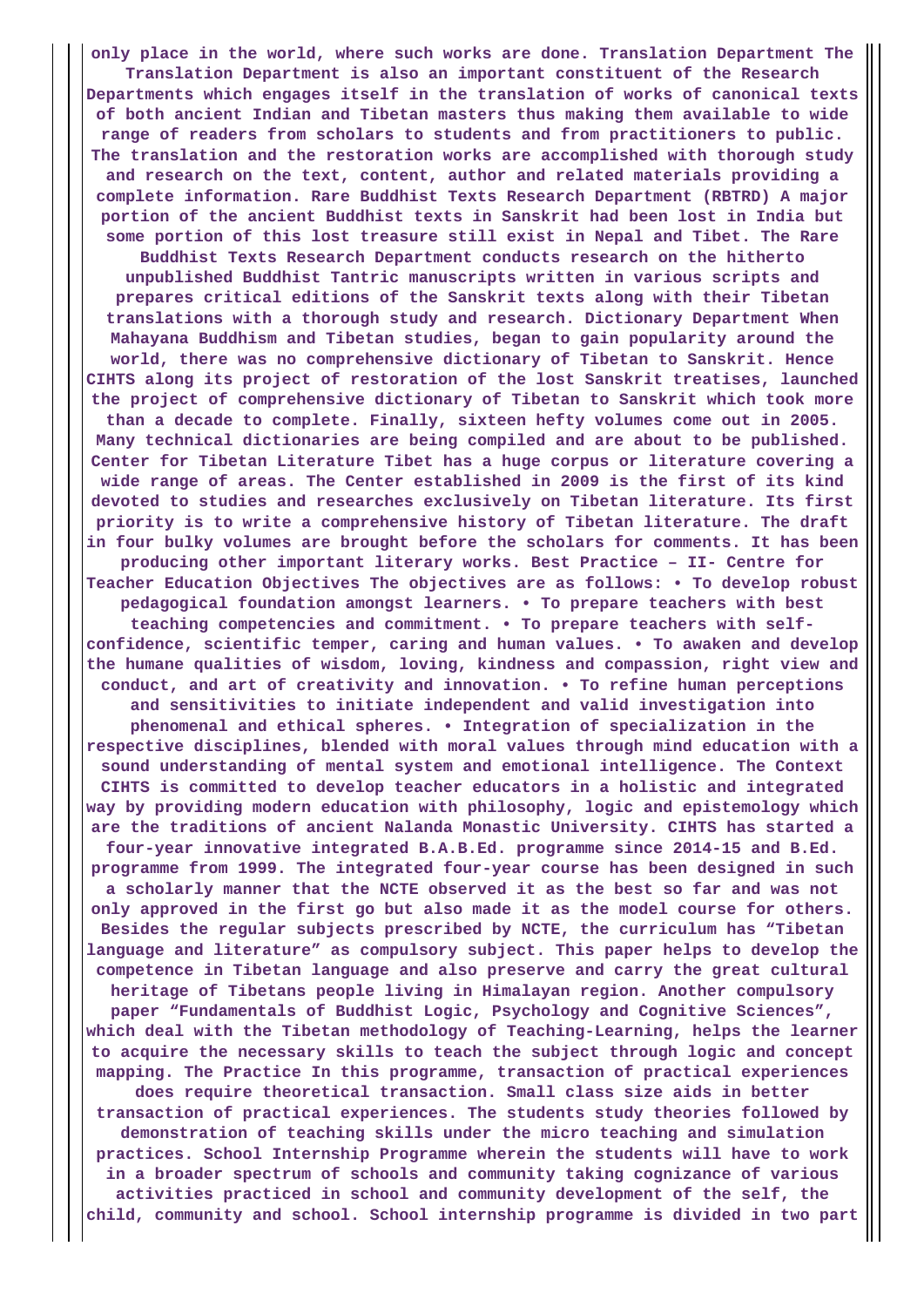**only place in the world, where such works are done. Translation Department The Translation Department is also an important constituent of the Research Departments which engages itself in the translation of works of canonical texts of both ancient Indian and Tibetan masters thus making them available to wide range of readers from scholars to students and from practitioners to public. The translation and the restoration works are accomplished with thorough study and research on the text, content, author and related materials providing a complete information. Rare Buddhist Texts Research Department (RBTRD) A major portion of the ancient Buddhist texts in Sanskrit had been lost in India but some portion of this lost treasure still exist in Nepal and Tibet. The Rare Buddhist Texts Research Department conducts research on the hitherto unpublished Buddhist Tantric manuscripts written in various scripts and prepares critical editions of the Sanskrit texts along with their Tibetan translations with a thorough study and research. Dictionary Department When Mahayana Buddhism and Tibetan studies, began to gain popularity around the world, there was no comprehensive dictionary of Tibetan to Sanskrit. Hence CIHTS along its project of restoration of the lost Sanskrit treatises, launched the project of comprehensive dictionary of Tibetan to Sanskrit which took more than a decade to complete. Finally, sixteen hefty volumes come out in 2005. Many technical dictionaries are being compiled and are about to be published. Center for Tibetan Literature Tibet has a huge corpus or literature covering a wide range of areas. The Center established in 2009 is the first of its kind devoted to studies and researches exclusively on Tibetan literature. Its first priority is to write a comprehensive history of Tibetan literature. The draft in four bulky volumes are brought before the scholars for comments. It has been producing other important literary works. Best Practice – II- Centre for Teacher Education Objectives The objectives are as follows: • To develop robust pedagogical foundation amongst learners. • To prepare teachers with best teaching competencies and commitment. • To prepare teachers with selfconfidence, scientific temper, caring and human values. • To awaken and develop the humane qualities of wisdom, loving, kindness and compassion, right view and conduct, and art of creativity and innovation. • To refine human perceptions and sensitivities to initiate independent and valid investigation into phenomenal and ethical spheres. • Integration of specialization in the respective disciplines, blended with moral values through mind education with a sound understanding of mental system and emotional intelligence. The Context CIHTS is committed to develop teacher educators in a holistic and integrated way by providing modern education with philosophy, logic and epistemology which are the traditions of ancient Nalanda Monastic University. CIHTS has started a four-year innovative integrated B.A.B.Ed. programme since 2014-15 and B.Ed. programme from 1999. The integrated four-year course has been designed in such a scholarly manner that the NCTE observed it as the best so far and was not only approved in the first go but also made it as the model course for others. Besides the regular subjects prescribed by NCTE, the curriculum has "Tibetan language and literature" as compulsory subject. This paper helps to develop the competence in Tibetan language and also preserve and carry the great cultural heritage of Tibetans people living in Himalayan region. Another compulsory paper "Fundamentals of Buddhist Logic, Psychology and Cognitive Sciences", which deal with the Tibetan methodology of Teaching-Learning, helps the learner to acquire the necessary skills to teach the subject through logic and concept mapping. The Practice In this programme, transaction of practical experiences does require theoretical transaction. Small class size aids in better transaction of practical experiences. The students study theories followed by demonstration of teaching skills under the micro teaching and simulation practices. School Internship Programme wherein the students will have to work in a broader spectrum of schools and community taking cognizance of various activities practiced in school and community development of the self, the child, community and school. School internship programme is divided in two part**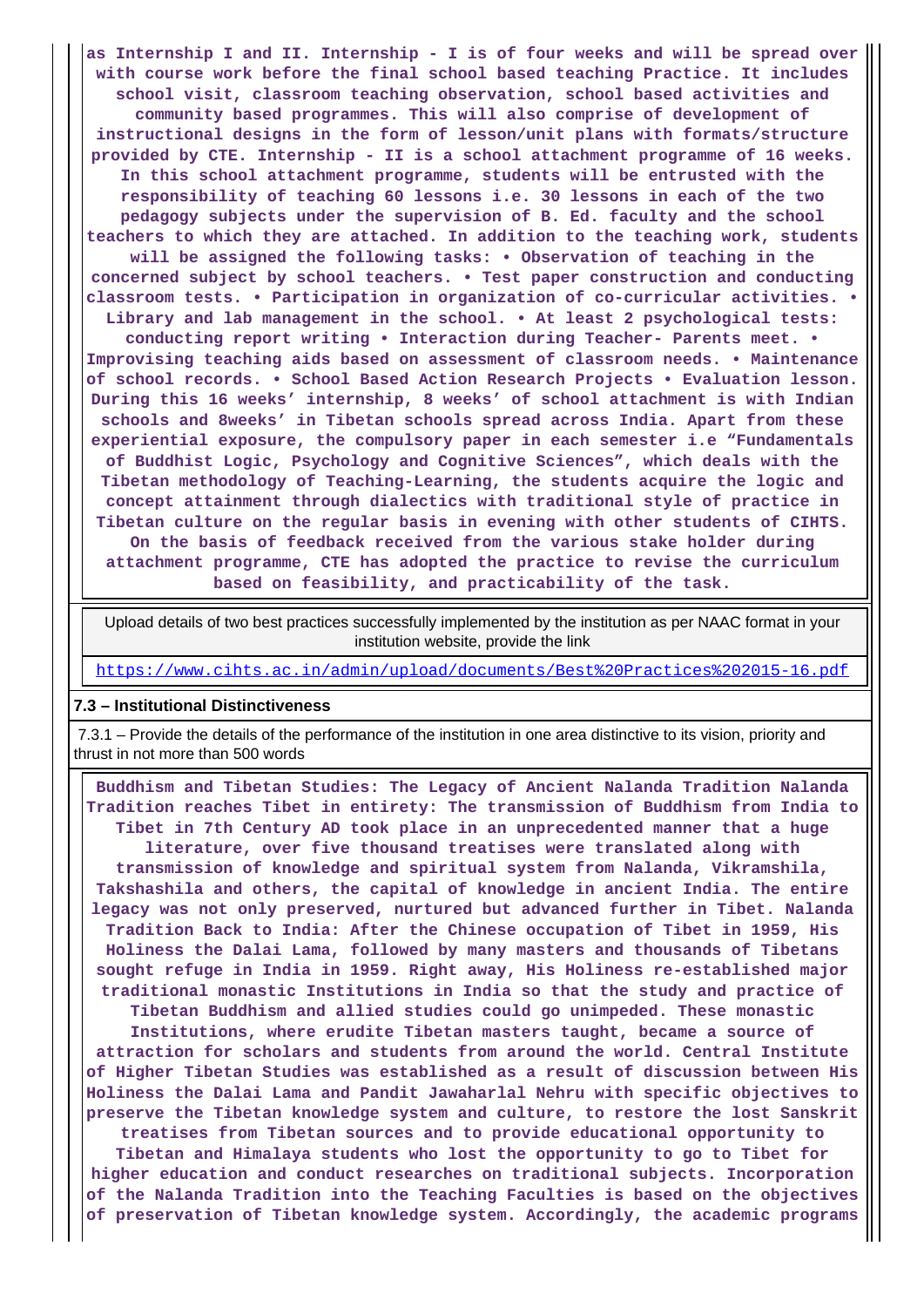**as Internship I and II. Internship - I is of four weeks and will be spread over with course work before the final school based teaching Practice. It includes school visit, classroom teaching observation, school based activities and community based programmes. This will also comprise of development of instructional designs in the form of lesson/unit plans with formats/structure provided by CTE. Internship - II is a school attachment programme of 16 weeks. In this school attachment programme, students will be entrusted with the responsibility of teaching 60 lessons i.e. 30 lessons in each of the two pedagogy subjects under the supervision of B. Ed. faculty and the school teachers to which they are attached. In addition to the teaching work, students will be assigned the following tasks: • Observation of teaching in the concerned subject by school teachers. • Test paper construction and conducting classroom tests. • Participation in organization of co-curricular activities. • Library and lab management in the school. • At least 2 psychological tests: conducting report writing • Interaction during Teacher- Parents meet. • Improvising teaching aids based on assessment of classroom needs. • Maintenance of school records. • School Based Action Research Projects • Evaluation lesson. During this 16 weeks' internship, 8 weeks' of school attachment is with Indian schools and 8weeks' in Tibetan schools spread across India. Apart from these experiential exposure, the compulsory paper in each semester i.e "Fundamentals of Buddhist Logic, Psychology and Cognitive Sciences", which deals with the Tibetan methodology of Teaching-Learning, the students acquire the logic and concept attainment through dialectics with traditional style of practice in Tibetan culture on the regular basis in evening with other students of CIHTS. On the basis of feedback received from the various stake holder during attachment programme, CTE has adopted the practice to revise the curriculum based on feasibility, and practicability of the task.**

 Upload details of two best practices successfully implemented by the institution as per NAAC format in your institution website, provide the link

<https://www.cihts.ac.in/admin/upload/documents/Best%20Practices%202015-16.pdf>

#### **7.3 – Institutional Distinctiveness**

 7.3.1 – Provide the details of the performance of the institution in one area distinctive to its vision, priority and thrust in not more than 500 words

 **Buddhism and Tibetan Studies: The Legacy of Ancient Nalanda Tradition Nalanda Tradition reaches Tibet in entirety: The transmission of Buddhism from India to Tibet in 7th Century AD took place in an unprecedented manner that a huge literature, over five thousand treatises were translated along with transmission of knowledge and spiritual system from Nalanda, Vikramshila, Takshashila and others, the capital of knowledge in ancient India. The entire legacy was not only preserved, nurtured but advanced further in Tibet. Nalanda Tradition Back to India: After the Chinese occupation of Tibet in 1959, His Holiness the Dalai Lama, followed by many masters and thousands of Tibetans sought refuge in India in 1959. Right away, His Holiness re-established major traditional monastic Institutions in India so that the study and practice of Tibetan Buddhism and allied studies could go unimpeded. These monastic Institutions, where erudite Tibetan masters taught, became a source of attraction for scholars and students from around the world. Central Institute of Higher Tibetan Studies was established as a result of discussion between His Holiness the Dalai Lama and Pandit Jawaharlal Nehru with specific objectives to preserve the Tibetan knowledge system and culture, to restore the lost Sanskrit treatises from Tibetan sources and to provide educational opportunity to**

**Tibetan and Himalaya students who lost the opportunity to go to Tibet for higher education and conduct researches on traditional subjects. Incorporation of the Nalanda Tradition into the Teaching Faculties is based on the objectives of preservation of Tibetan knowledge system. Accordingly, the academic programs**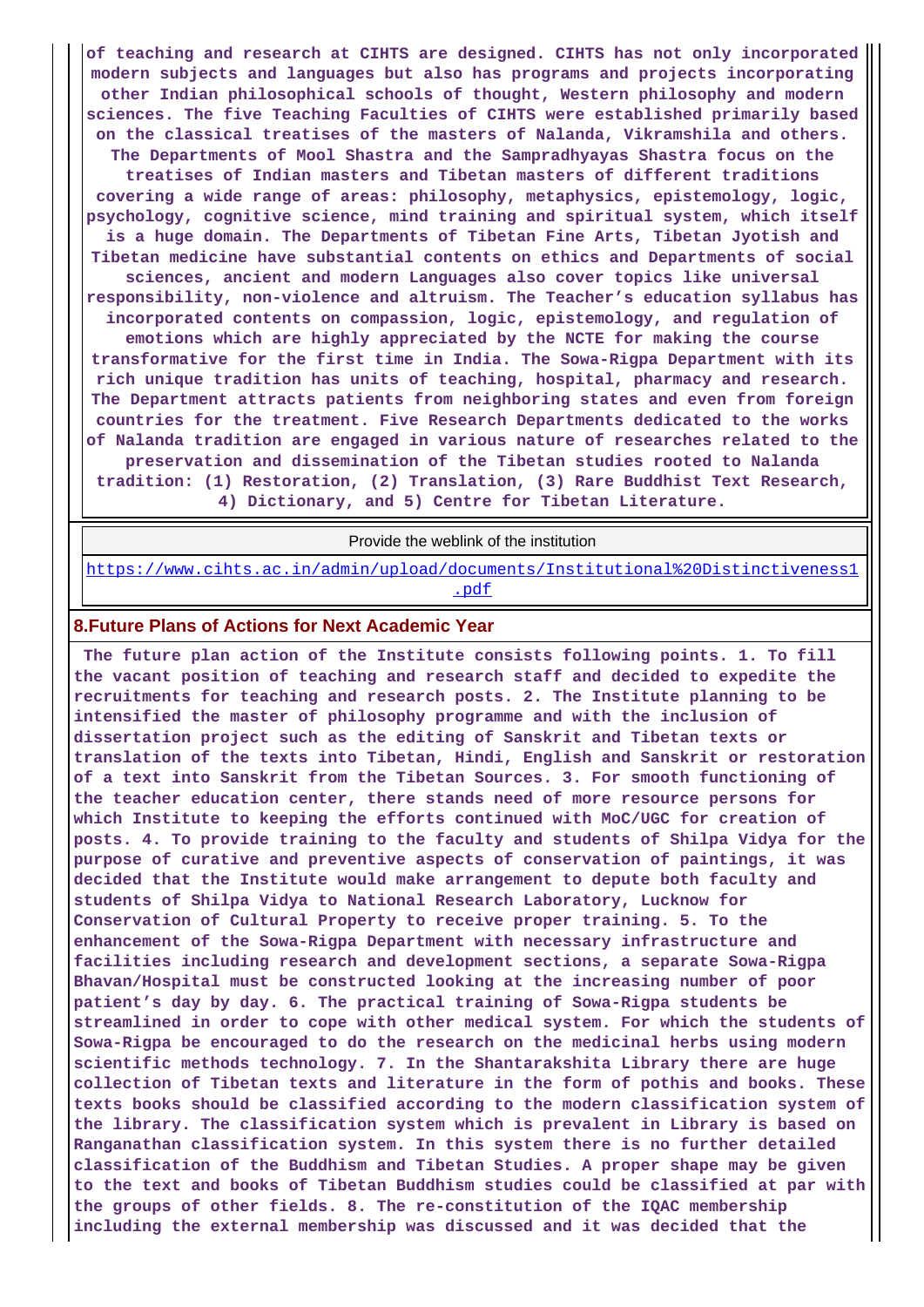**of teaching and research at CIHTS are designed. CIHTS has not only incorporated modern subjects and languages but also has programs and projects incorporating other Indian philosophical schools of thought, Western philosophy and modern sciences. The five Teaching Faculties of CIHTS were established primarily based on the classical treatises of the masters of Nalanda, Vikramshila and others. The Departments of Mool Shastra and the Sampradhyayas Shastra focus on the treatises of Indian masters and Tibetan masters of different traditions covering a wide range of areas: philosophy, metaphysics, epistemology, logic, psychology, cognitive science, mind training and spiritual system, which itself is a huge domain. The Departments of Tibetan Fine Arts, Tibetan Jyotish and Tibetan medicine have substantial contents on ethics and Departments of social sciences, ancient and modern Languages also cover topics like universal responsibility, non-violence and altruism. The Teacher's education syllabus has incorporated contents on compassion, logic, epistemology, and regulation of emotions which are highly appreciated by the NCTE for making the course transformative for the first time in India. The Sowa-Rigpa Department with its rich unique tradition has units of teaching, hospital, pharmacy and research. The Department attracts patients from neighboring states and even from foreign countries for the treatment. Five Research Departments dedicated to the works of Nalanda tradition are engaged in various nature of researches related to the preservation and dissemination of the Tibetan studies rooted to Nalanda tradition: (1) Restoration, (2) Translation, (3) Rare Buddhist Text Research, 4) Dictionary, and 5) Centre for Tibetan Literature.**

Provide the weblink of the institution

[https://www.cihts.ac.in/admin/upload/documents/Institutional%20Distinctiveness1](https://www.cihts.ac.in/admin/upload/documents/Institutional%20Distinctiveness1.pdf) [.pdf](https://www.cihts.ac.in/admin/upload/documents/Institutional%20Distinctiveness1.pdf)

#### **8.Future Plans of Actions for Next Academic Year**

 **The future plan action of the Institute consists following points. 1. To fill the vacant position of teaching and research staff and decided to expedite the recruitments for teaching and research posts. 2. The Institute planning to be intensified the master of philosophy programme and with the inclusion of dissertation project such as the editing of Sanskrit and Tibetan texts or translation of the texts into Tibetan, Hindi, English and Sanskrit or restoration of a text into Sanskrit from the Tibetan Sources. 3. For smooth functioning of the teacher education center, there stands need of more resource persons for which Institute to keeping the efforts continued with MoC/UGC for creation of posts. 4. To provide training to the faculty and students of Shilpa Vidya for the purpose of curative and preventive aspects of conservation of paintings, it was decided that the Institute would make arrangement to depute both faculty and students of Shilpa Vidya to National Research Laboratory, Lucknow for Conservation of Cultural Property to receive proper training. 5. To the enhancement of the Sowa-Rigpa Department with necessary infrastructure and facilities including research and development sections, a separate Sowa-Rigpa Bhavan/Hospital must be constructed looking at the increasing number of poor patient's day by day. 6. The practical training of Sowa-Rigpa students be streamlined in order to cope with other medical system. For which the students of Sowa-Rigpa be encouraged to do the research on the medicinal herbs using modern scientific methods technology. 7. In the Shantarakshita Library there are huge collection of Tibetan texts and literature in the form of pothis and books. These texts books should be classified according to the modern classification system of the library. The classification system which is prevalent in Library is based on Ranganathan classification system. In this system there is no further detailed classification of the Buddhism and Tibetan Studies. A proper shape may be given to the text and books of Tibetan Buddhism studies could be classified at par with the groups of other fields. 8. The re-constitution of the IQAC membership including the external membership was discussed and it was decided that the**